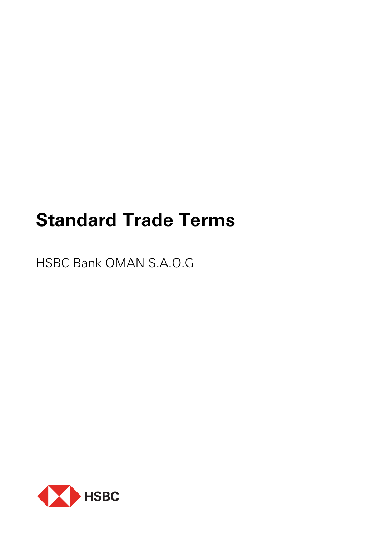# **Standard Trade Terms**

HSBC Bank OMAN S.A.O.G

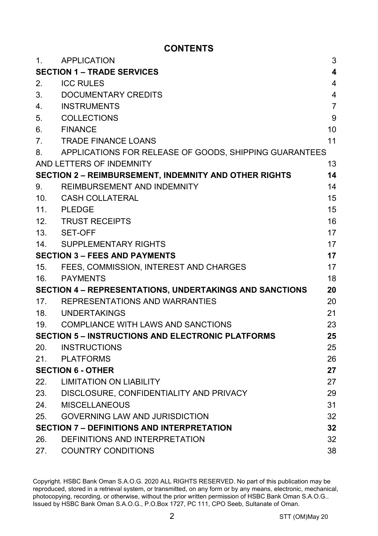## **CONTENTS**

| APPLICATION                                                  | 3  |
|--------------------------------------------------------------|----|
| <b>SECTION 1 - TRADE SERVICES</b>                            | 4  |
| <b>ICC RULES</b>                                             | 4  |
| DOCUMENTARY CREDITS                                          | 4  |
| <b>INSTRUMENTS</b>                                           | 7  |
| <b>COLLECTIONS</b>                                           | 9  |
| <b>FINANCE</b>                                               | 10 |
| <b>TRADE FINANCE LOANS</b>                                   | 11 |
| APPLICATIONS FOR RELEASE OF GOODS, SHIPPING GUARANTEES       |    |
| AND LETTERS OF INDEMNITY                                     | 13 |
| <b>SECTION 2 - REIMBURSEMENT, INDEMNITY AND OTHER RIGHTS</b> | 14 |
| REIMBURSEMENT AND INDEMNITY                                  | 14 |
| CASH COLLATERAL                                              | 15 |
| 11. PLEDGE                                                   | 15 |
| 12. TRUST RECEIPTS                                           | 16 |
| SET-OFF                                                      | 17 |
| SUPPLEMENTARY RIGHTS                                         | 17 |
| <b>SECTION 3 – FEES AND PAYMENTS</b>                         | 17 |
| FEES, COMMISSION, INTEREST AND CHARGES                       | 17 |
| PAYMENTS                                                     | 18 |
| SECTION 4 - REPRESENTATIONS, UNDERTAKINGS AND SANCTIONS      | 20 |
| 17. REPRESENTATIONS AND WARRANTIES                           | 20 |
| 18. UNDERTAKINGS                                             | 21 |
| COMPLIANCE WITH LAWS AND SANCTIONS                           | 23 |
| <b>SECTION 5 - INSTRUCTIONS AND ELECTRONIC PLATFORMS</b>     | 25 |
| <b>INSTRUCTIONS</b>                                          | 25 |
| PLATFORMS                                                    | 26 |
| <b>SECTION 6 - OTHER</b>                                     | 27 |
| 22. LIMITATION ON LIABILITY                                  | 27 |
| 23. DISCLOSURE, CONFIDENTIALITY AND PRIVACY                  | 29 |
| <b>MISCELLANEOUS</b>                                         | 31 |
| <b>GOVERNING LAW AND JURISDICTION</b>                        | 32 |
| <b>SECTION 7 - DEFINITIONS AND INTERPRETATION</b>            | 32 |
| DEFINITIONS AND INTERPRETATION                               | 32 |
| <b>COUNTRY CONDITIONS</b>                                    | 38 |
|                                                              |    |

Copyright. HSBC Bank Oman S.A.O.G. 2020 ALL RIGHTS RESERVED. No part of this publication may be reproduced, stored in a retrieval system, or transmitted, on any form or by any means, electronic, mechanical, photocopying, recording, or otherwise, without the prior written permission of HSBC Bank Oman S.A.O.G.. Issued by HSBC Bank Oman S.A.O.G., P.O.Box 1727, PC 111, CPO Seeb, Sultanate of Oman.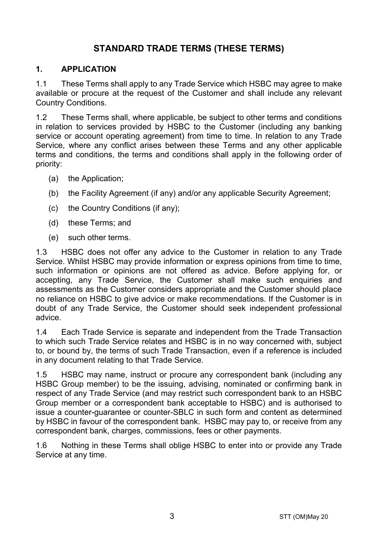# **STANDARD TRADE TERMS (THESE TERMS)**

#### **1. APPLICATION**

1.1 These Terms shall apply to any Trade Service which HSBC may agree to make available or procure at the request of the Customer and shall include any relevant Country Conditions.

1.2 These Terms shall, where applicable, be subject to other terms and conditions in relation to services provided by HSBC to the Customer (including any banking service or account operating agreement) from time to time. In relation to any Trade Service, where any conflict arises between these Terms and any other applicable terms and conditions, the terms and conditions shall apply in the following order of priority:

- (a) the Application;
- (b) the Facility Agreement (if any) and/or any applicable Security Agreement;
- (c) the Country Conditions (if any);
- (d) these Terms; and
- (e) such other terms.

1.3 HSBC does not offer any advice to the Customer in relation to any Trade Service. Whilst HSBC may provide information or express opinions from time to time, such information or opinions are not offered as advice. Before applying for, or accepting, any Trade Service, the Customer shall make such enquiries and assessments as the Customer considers appropriate and the Customer should place no reliance on HSBC to give advice or make recommendations. If the Customer is in doubt of any Trade Service, the Customer should seek independent professional advice.

1.4 Each Trade Service is separate and independent from the Trade Transaction to which such Trade Service relates and HSBC is in no way concerned with, subject to, or bound by, the terms of such Trade Transaction, even if a reference is included in any document relating to that Trade Service.

1.5 HSBC may name, instruct or procure any correspondent bank (including any HSBC Group member) to be the issuing, advising, nominated or confirming bank in respect of any Trade Service (and may restrict such correspondent bank to an HSBC Group member or a correspondent bank acceptable to HSBC) and is authorised to issue a counter-guarantee or counter-SBLC in such form and content as determined by HSBC in favour of the correspondent bank. HSBC may pay to, or receive from any correspondent bank, charges, commissions, fees or other payments.

1.6 Nothing in these Terms shall oblige HSBC to enter into or provide any Trade Service at any time.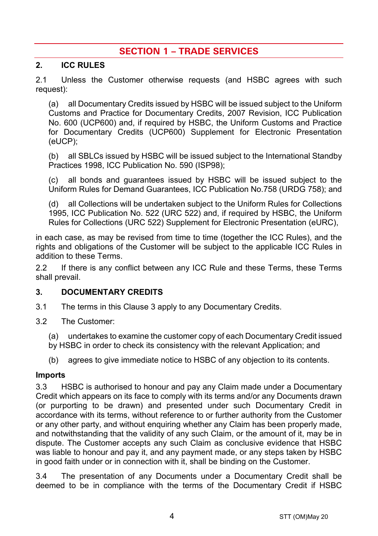# **SECTION 1 – TRADE SERVICES**

#### **2. ICC RULES**

2.1 Unless the Customer otherwise requests (and HSBC agrees with such request):

(a) all Documentary Credits issued by HSBC will be issued subject to the Uniform Customs and Practice for Documentary Credits, 2007 Revision, ICC Publication No. 600 (UCP600) and, if required by HSBC, the Uniform Customs and Practice for Documentary Credits (UCP600) Supplement for Electronic Presentation (eUCP);

(b) all SBLCs issued by HSBC will be issued subject to the International Standby Practices 1998, ICC Publication No. 590 (ISP98);

(c) all bonds and guarantees issued by HSBC will be issued subject to the Uniform Rules for Demand Guarantees, ICC Publication No.758 (URDG 758); and

(d) all Collections will be undertaken subject to the Uniform Rules for Collections 1995, ICC Publication No. 522 (URC 522) and, if required by HSBC, the Uniform Rules for Collections (URC 522) Supplement for Electronic Presentation (eURC),

in each case, as may be revised from time to time (together the ICC Rules), and the rights and obligations of the Customer will be subject to the applicable ICC Rules in addition to these Terms.

2.2 If there is any conflict between any ICC Rule and these Terms, these Terms shall prevail.

#### <span id="page-3-0"></span>**3. DOCUMENTARY CREDITS**

- 3.1 The terms in this Claus[e 3](#page-3-0) apply to any Documentary Credits.
- 3.2 The Customer:
	- (a) undertakes to examine the customer copy of each Documentary Credit issued
	- by HSBC in order to check its consistency with the relevant Application; and
	- (b) agrees to give immediate notice to HSBC of any objection to its contents.

#### **Imports**

3.3 HSBC is authorised to honour and pay any Claim made under a Documentary Credit which appears on its face to comply with its terms and/or any Documents drawn (or purporting to be drawn) and presented under such Documentary Credit in accordance with its terms, without reference to or further authority from the Customer or any other party, and without enquiring whether any Claim has been properly made, and notwithstanding that the validity of any such Claim, or the amount of it, may be in dispute. The Customer accepts any such Claim as conclusive evidence that HSBC was liable to honour and pay it, and any payment made, or any steps taken by HSBC in good faith under or in connection with it, shall be binding on the Customer.

3.4 The presentation of any Documents under a Documentary Credit shall be deemed to be in compliance with the terms of the Documentary Credit if HSBC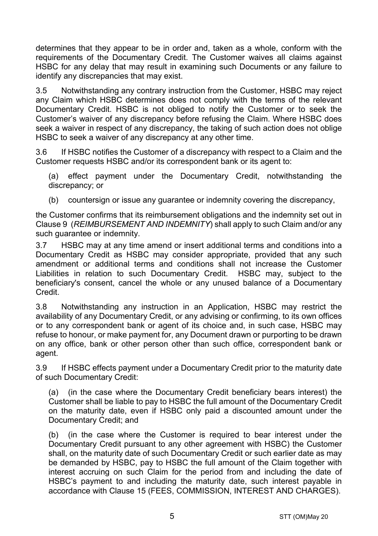determines that they appear to be in order and, taken as a whole, conform with the requirements of the Documentary Credit. The Customer waives all claims against HSBC for any delay that may result in examining such Documents or any failure to identify any discrepancies that may exist.

3.5 Notwithstanding any contrary instruction from the Customer, HSBC may reject any Claim which HSBC determines does not comply with the terms of the relevant Documentary Credit. HSBC is not obliged to notify the Customer or to seek the Customer's waiver of any discrepancy before refusing the Claim. Where HSBC does seek a waiver in respect of any discrepancy, the taking of such action does not oblige HSBC to seek a waiver of any discrepancy at any other time.

3.6 If HSBC notifies the Customer of a discrepancy with respect to a Claim and the Customer requests HSBC and/or its correspondent bank or its agent to:

(a) effect payment under the Documentary Credit, notwithstanding the discrepancy; or

(b) countersign or issue any guarantee or indemnity covering the discrepancy,

the Customer confirms that its reimbursement obligations and the indemnity set out in Claus[e 9](#page-13-0) (*[REIMBURSEMENT AND INDEMNITY](#page-13-0)*) shall apply to such Claim and/or any such quarantee or indemnity.

3.7 HSBC may at any time amend or insert additional terms and conditions into a Documentary Credit as HSBC may consider appropriate, provided that any such amendment or additional terms and conditions shall not increase the Customer Liabilities in relation to such Documentary Credit. HSBC may, subject to the beneficiary's consent, cancel the whole or any unused balance of a Documentary Credit.

3.8 Notwithstanding any instruction in an Application, HSBC may restrict the availability of any Documentary Credit, or any advising or confirming, to its own offices or to any correspondent bank or agent of its choice and, in such case, HSBC may refuse to honour, or make payment for, any Document drawn or purporting to be drawn on any office, bank or other person other than such office, correspondent bank or agent.

3.9 If HSBC effects payment under a Documentary Credit prior to the maturity date of such Documentary Credit:

(a) (in the case where the Documentary Credit beneficiary bears interest) the Customer shall be liable to pay to HSBC the full amount of the Documentary Credit on the maturity date, even if HSBC only paid a discounted amount under the Documentary Credit; and

(b) (in the case where the Customer is required to bear interest under the Documentary Credit pursuant to any other agreement with HSBC) the Customer shall, on the maturity date of such Documentary Credit or such earlier date as may be demanded by HSBC, pay to HSBC the full amount of the Claim together with interest accruing on such Claim for the period from and including the date of HSBC's payment to and including the maturity date, such interest payable in accordance with Clause [15](#page-16-0) [\(FEES, COMMISSION, INTEREST AND CHARGES\)](#page-16-0).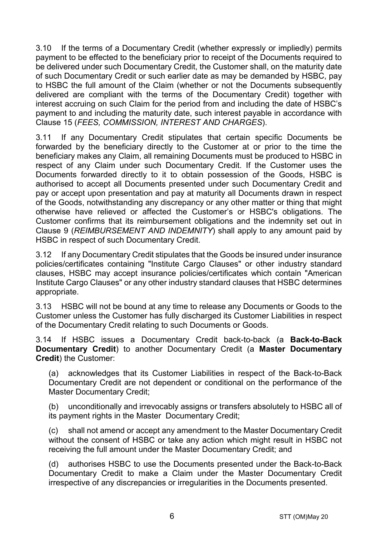3.10 If the terms of a Documentary Credit (whether expressly or impliedly) permits payment to be effected to the beneficiary prior to receipt of the Documents required to be delivered under such Documentary Credit, the Customer shall, on the maturity date of such Documentary Credit or such earlier date as may be demanded by HSBC, pay to HSBC the full amount of the Claim (whether or not the Documents subsequently delivered are compliant with the terms of the Documentary Credit) together with interest accruing on such Claim for the period from and including the date of HSBC's payment to and including the maturity date, such interest payable in accordance with Clause [15](#page-16-0) (*[FEES, COMMISSION, INTEREST AND CHARGES](#page-16-0)*).

3.11 If any Documentary Credit stipulates that certain specific Documents be forwarded by the beneficiary directly to the Customer at or prior to the time the beneficiary makes any Claim, all remaining Documents must be produced to HSBC in respect of any Claim under such Documentary Credit. If the Customer uses the Documents forwarded directly to it to obtain possession of the Goods, HSBC is authorised to accept all Documents presented under such Documentary Credit and pay or accept upon presentation and pay at maturity all Documents drawn in respect of the Goods, notwithstanding any discrepancy or any other matter or thing that might otherwise have relieved or affected the Customer's or HSBC's obligations. The Customer confirms that its reimbursement obligations and the indemnity set out in Clause [9](#page-13-0) (*[REIMBURSEMENT AND INDEMNITY](#page-13-0)*) shall apply to any amount paid by HSBC in respect of such Documentary Credit.

3.12 If any Documentary Credit stipulates that the Goods be insured under insurance policies/certificates containing "Institute Cargo Clauses" or other industry standard clauses, HSBC may accept insurance policies/certificates which contain "American Institute Cargo Clauses" or any other industry standard clauses that HSBC determines appropriate.

3.13 HSBC will not be bound at any time to release any Documents or Goods to the Customer unless the Customer has fully discharged its Customer Liabilities in respect of the Documentary Credit relating to such Documents or Goods.

<span id="page-5-0"></span>3.14 If HSBC issues a Documentary Credit back-to-back (a **Back-to-Back Documentary Credit**) to another Documentary Credit (a **Master Documentary Credit**) the Customer:

(a) acknowledges that its Customer Liabilities in respect of the Back-to-Back Documentary Credit are not dependent or conditional on the performance of the Master Documentary Credit;

(b) unconditionally and irrevocably assigns or transfers absolutely to HSBC all of its payment rights in the Master Documentary Credit;

(c) shall not amend or accept any amendment to the Master Documentary Credit without the consent of HSBC or take any action which might result in HSBC not receiving the full amount under the Master Documentary Credit; and

(d) authorises HSBC to use the Documents presented under the Back-to-Back Documentary Credit to make a Claim under the Master Documentary Credit irrespective of any discrepancies or irregularities in the Documents presented.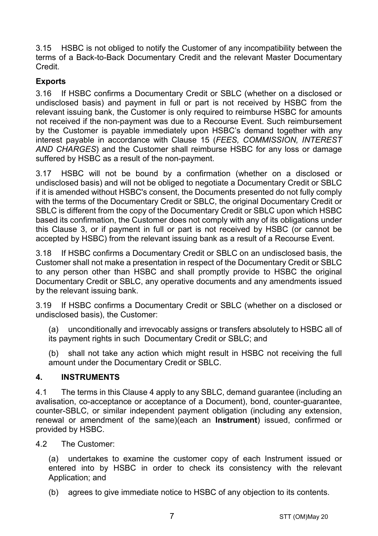3.15 HSBC is not obliged to notify the Customer of any incompatibility between the terms of a Back-to-Back Documentary Credit and the relevant Master Documentary Credit.

# **Exports**

3.16 If HSBC confirms a Documentary Credit or SBLC (whether on a disclosed or undisclosed basis) and payment in full or part is not received by HSBC from the relevant issuing bank, the Customer is only required to reimburse HSBC for amounts not received if the non-payment was due to a Recourse Event. Such reimbursement by the Customer is payable immediately upon HSBC's demand together with any interest payable in accordance with Clause [15](#page-16-0) (*[FEES, COMMISSION, INTEREST](#page-16-0)  [AND CHARGES](#page-16-0)*) and the Customer shall reimburse HSBC for any loss or damage suffered by HSBC as a result of the non-payment.

3.17 HSBC will not be bound by a confirmation (whether on a disclosed or undisclosed basis) and will not be obliged to negotiate a Documentary Credit or SBLC if it is amended without HSBC's consent, the Documents presented do not fully comply with the terms of the Documentary Credit or SBLC, the original Documentary Credit or SBLC is different from the copy of the Documentary Credit or SBLC upon which HSBC based its confirmation, the Customer does not comply with any of its obligations under this Clause [3,](#page-3-0) or if payment in full or part is not received by HSBC (or cannot be accepted by HSBC) from the relevant issuing bank as a result of a Recourse Event.

3.18 If HSBC confirms a Documentary Credit or SBLC on an undisclosed basis, the Customer shall not make a presentation in respect of the Documentary Credit or SBLC to any person other than HSBC and shall promptly provide to HSBC the original Documentary Credit or SBLC, any operative documents and any amendments issued by the relevant issuing bank.

3.19 If HSBC confirms a Documentary Credit or SBLC (whether on a disclosed or undisclosed basis), the Customer:

(a) unconditionally and irrevocably assigns or transfers absolutely to HSBC all of its payment rights in such Documentary Credit or SBLC; and

(b) shall not take any action which might result in HSBC not receiving the full amount under the Documentary Credit or SBLC.

## <span id="page-6-0"></span>**4. INSTRUMENTS**

4.1 The terms in this Clause [4](#page-6-0) apply to any SBLC, demand guarantee (including an avalisation, co-acceptance or acceptance of a Document), bond, counter-guarantee, counter-SBLC, or similar independent payment obligation (including any extension, renewal or amendment of the same)(each an **Instrument**) issued, confirmed or provided by HSBC.

4.2 The Customer:

(a) undertakes to examine the customer copy of each Instrument issued or entered into by HSBC in order to check its consistency with the relevant Application; and

(b) agrees to give immediate notice to HSBC of any objection to its contents.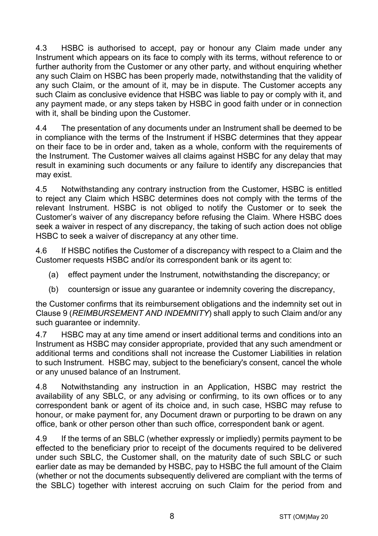4.3 HSBC is authorised to accept, pay or honour any Claim made under any Instrument which appears on its face to comply with its terms, without reference to or further authority from the Customer or any other party, and without enquiring whether any such Claim on HSBC has been properly made, notwithstanding that the validity of any such Claim, or the amount of it, may be in dispute. The Customer accepts any such Claim as conclusive evidence that HSBC was liable to pay or comply with it, and any payment made, or any steps taken by HSBC in good faith under or in connection with it, shall be binding upon the Customer.

4.4 The presentation of any documents under an Instrument shall be deemed to be in compliance with the terms of the Instrument if HSBC determines that they appear on their face to be in order and, taken as a whole, conform with the requirements of the Instrument. The Customer waives all claims against HSBC for any delay that may result in examining such documents or any failure to identify any discrepancies that may exist.

4.5 Notwithstanding any contrary instruction from the Customer, HSBC is entitled to reject any Claim which HSBC determines does not comply with the terms of the relevant Instrument. HSBC is not obliged to notify the Customer or to seek the Customer's waiver of any discrepancy before refusing the Claim. Where HSBC does seek a waiver in respect of any discrepancy, the taking of such action does not oblige HSBC to seek a waiver of discrepancy at any other time.

4.6 If HSBC notifies the Customer of a discrepancy with respect to a Claim and the Customer requests HSBC and/or its correspondent bank or its agent to:

- (a) effect payment under the Instrument, notwithstanding the discrepancy; or
- (b) countersign or issue any guarantee or indemnity covering the discrepancy,

the Customer confirms that its reimbursement obligations and the indemnity set out in Clause [9](#page-13-0) (*[REIMBURSEMENT AND INDEMNITY](#page-13-0)*) shall apply to such Claim and/or any such guarantee or indemnity.

4.7 HSBC may at any time amend or insert additional terms and conditions into an Instrument as HSBC may consider appropriate, provided that any such amendment or additional terms and conditions shall not increase the Customer Liabilities in relation to such Instrument. HSBC may, subject to the beneficiary's consent, cancel the whole or any unused balance of an Instrument.

4.8 Notwithstanding any instruction in an Application, HSBC may restrict the availability of any SBLC, or any advising or confirming, to its own offices or to any correspondent bank or agent of its choice and, in such case, HSBC may refuse to honour, or make payment for, any Document drawn or purporting to be drawn on any office, bank or other person other than such office, correspondent bank or agent.

4.9 If the terms of an SBLC (whether expressly or impliedly) permits payment to be effected to the beneficiary prior to receipt of the documents required to be delivered under such SBLC, the Customer shall, on the maturity date of such SBLC or such earlier date as may be demanded by HSBC, pay to HSBC the full amount of the Claim (whether or not the documents subsequently delivered are compliant with the terms of the SBLC) together with interest accruing on such Claim for the period from and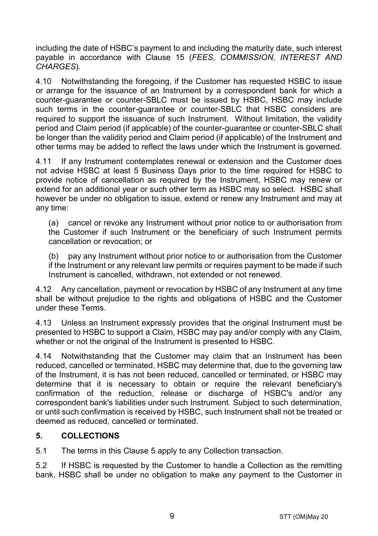including the date of HSBC's payment to and including the maturity date, such interest payable in accordance with Clause [15](#page-16-0) (*[FEES, COMMISSION, INTEREST AND](#page-16-0)  [CHARGES](#page-16-0)*).

4.10 Notwithstanding the foregoing, if the Customer has requested HSBC to issue or arrange for the issuance of an Instrument by a correspondent bank for which a counter-guarantee or counter-SBLC must be issued by HSBC, HSBC may include such terms in the counter-guarantee or counter-SBLC that HSBC considers are required to support the issuance of such Instrument. Without limitation, the validity period and Claim period (if applicable) of the counter-guarantee or counter-SBLC shall be longer than the validity period and Claim period (if applicable) of the Instrument and other terms may be added to reflect the laws under which the Instrument is governed.

4.11 If any Instrument contemplates renewal or extension and the Customer does not advise HSBC at least 5 Business Days prior to the time required for HSBC to provide notice of cancellation as required by the Instrument, HSBC may renew or extend for an additional year or such other term as HSBC may so select. HSBC shall however be under no obligation to issue, extend or renew any Instrument and may at any time:

(a) cancel or revoke any Instrument without prior notice to or authorisation from the Customer if such Instrument or the beneficiary of such Instrument permits cancellation or revocation; or

(b) pay any Instrument without prior notice to or authorisation from the Customer if the Instrument or any relevant law permits or requires payment to be made if such Instrument is cancelled, withdrawn, not extended or not renewed.

4.12 Any cancellation, payment or revocation by HSBC of any Instrument at any time shall be without prejudice to the rights and obligations of HSBC and the Customer under these Terms.

4.13 Unless an Instrument expressly provides that the original Instrument must be presented to HSBC to support a Claim, HSBC may pay and/or comply with any Claim, whether or not the original of the Instrument is presented to HSBC.

4.14 Notwithstanding that the Customer may claim that an Instrument has been reduced, cancelled or terminated, HSBC may determine that, due to the governing law of the Instrument, it is has not been reduced, cancelled or terminated, or HSBC may determine that it is necessary to obtain or require the relevant beneficiary's confirmation of the reduction, release or discharge of HSBC's and/or any correspondent bank's liabilities under such Instrument. Subject to such determination, or until such confirmation is received by HSBC, such Instrument shall not be treated or deemed as reduced, cancelled or terminated.

# <span id="page-8-0"></span>**5. COLLECTIONS**

5.1 The terms in this Claus[e 5](#page-8-0) apply to any Collection transaction.

5.2 If HSBC is requested by the Customer to handle a Collection as the remitting bank, HSBC shall be under no obligation to make any payment to the Customer in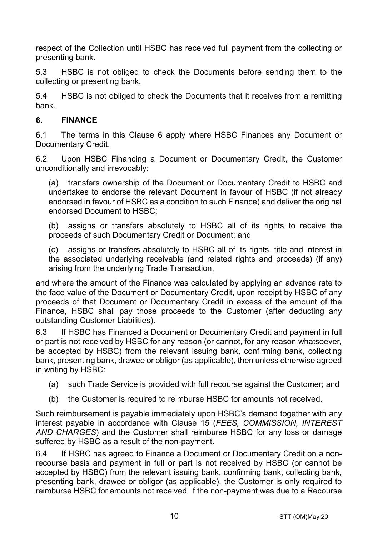respect of the Collection until HSBC has received full payment from the collecting or presenting bank.

5.3 HSBC is not obliged to check the Documents before sending them to the collecting or presenting bank.

5.4 HSBC is not obliged to check the Documents that it receives from a remitting bank.

# <span id="page-9-0"></span>**6. FINANCE**

6.1 The terms in this Clause [6](#page-9-0) apply where HSBC Finances any Document or Documentary Credit.

6.2 Upon HSBC Financing a Document or Documentary Credit, the Customer unconditionally and irrevocably:

(a) transfers ownership of the Document or Documentary Credit to HSBC and undertakes to endorse the relevant Document in favour of HSBC (if not already endorsed in favour of HSBC as a condition to such Finance) and deliver the original endorsed Document to HSBC;

(b) assigns or transfers absolutely to HSBC all of its rights to receive the proceeds of such Documentary Credit or Document; and

(c) assigns or transfers absolutely to HSBC all of its rights, title and interest in the associated underlying receivable (and related rights and proceeds) (if any) arising from the underlying Trade Transaction,

and where the amount of the Finance was calculated by applying an advance rate to the face value of the Document or Documentary Credit, upon receipt by HSBC of any proceeds of that Document or Documentary Credit in excess of the amount of the Finance, HSBC shall pay those proceeds to the Customer (after deducting any outstanding Customer Liabilities).

6.3 If HSBC has Financed a Document or Documentary Credit and payment in full or part is not received by HSBC for any reason (or cannot, for any reason whatsoever, be accepted by HSBC) from the relevant issuing bank, confirming bank, collecting bank, presenting bank, drawee or obligor (as applicable), then unless otherwise agreed in writing by HSBC:

- (a) such Trade Service is provided with full recourse against the Customer; and
- (b) the Customer is required to reimburse HSBC for amounts not received.

Such reimbursement is payable immediately upon HSBC's demand together with any interest payable in accordance with Clause [15](#page-16-0) (*[FEES, COMMISSION, INTEREST](#page-16-0)  [AND CHARGES](#page-16-0)*) and the Customer shall reimburse HSBC for any loss or damage suffered by HSBC as a result of the non-payment.

6.4 If HSBC has agreed to Finance a Document or Documentary Credit on a nonrecourse basis and payment in full or part is not received by HSBC (or cannot be accepted by HSBC) from the relevant issuing bank, confirming bank, collecting bank, presenting bank, drawee or obligor (as applicable), the Customer is only required to reimburse HSBC for amounts not received if the non-payment was due to a Recourse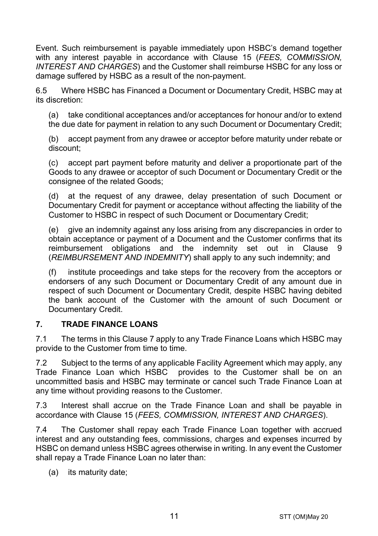Event. Such reimbursement is payable immediately upon HSBC's demand together with any interest payable in accordance with Clause [15](#page-16-0) (*[FEES, COMMISSION,](#page-16-0)  [INTEREST AND CHARGES](#page-16-0)*) and the Customer shall reimburse HSBC for any loss or damage suffered by HSBC as a result of the non-payment.

6.5 Where HSBC has Financed a Document or Documentary Credit, HSBC may at its discretion:

(a) take conditional acceptances and/or acceptances for honour and/or to extend the due date for payment in relation to any such Document or Documentary Credit;

(b) accept payment from any drawee or acceptor before maturity under rebate or discount;

(c) accept part payment before maturity and deliver a proportionate part of the Goods to any drawee or acceptor of such Document or Documentary Credit or the consignee of the related Goods;

(d) at the request of any drawee, delay presentation of such Document or Documentary Credit for payment or acceptance without affecting the liability of the Customer to HSBC in respect of such Document or Documentary Credit;

(e) give an indemnity against any loss arising from any discrepancies in order to obtain acceptance or payment of a Document and the Customer confirms that its reimbursement obligations and the indemnity set out in Clause [9](#page-13-0) (*[REIMBURSEMENT AND INDEMNITY](#page-13-0)*) shall apply to any such indemnity; and

(f) institute proceedings and take steps for the recovery from the acceptors or endorsers of any such Document or Documentary Credit of any amount due in respect of such Document or Documentary Credit, despite HSBC having debited the bank account of the Customer with the amount of such Document or Documentary Credit.

## <span id="page-10-0"></span>**7. TRADE FINANCE LOANS**

7.1 The terms in this Clause [7](#page-10-0) apply to any Trade Finance Loans which HSBC may provide to the Customer from time to time.

7.2 Subject to the terms of any applicable Facility Agreement which may apply, any Trade Finance Loan which HSBC provides to the Customer shall be on an uncommitted basis and HSBC may terminate or cancel such Trade Finance Loan at any time without providing reasons to the Customer.

7.3 Interest shall accrue on the Trade Finance Loan and shall be payable in accordance with Clause [15](#page-16-0) (*[FEES, COMMISSION, INTEREST AND CHARGES](#page-16-0)*).

7.4 The Customer shall repay each Trade Finance Loan together with accrued interest and any outstanding fees, commissions, charges and expenses incurred by HSBC on demand unless HSBC agrees otherwise in writing. In any event the Customer shall repay a Trade Finance Loan no later than:

(a) its maturity date;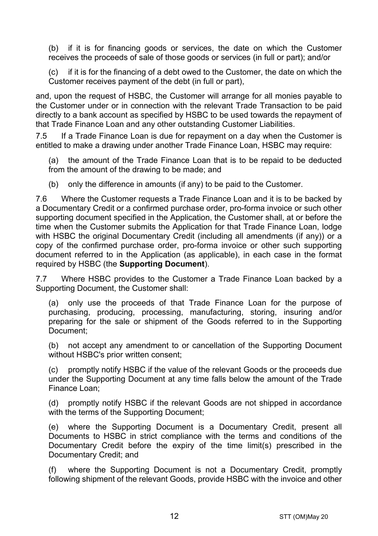(b) if it is for financing goods or services, the date on which the Customer receives the proceeds of sale of those goods or services (in full or part); and/or

(c) if it is for the financing of a debt owed to the Customer, the date on which the Customer receives payment of the debt (in full or part),

and, upon the request of HSBC, the Customer will arrange for all monies payable to the Customer under or in connection with the relevant Trade Transaction to be paid directly to a bank account as specified by HSBC to be used towards the repayment of that Trade Finance Loan and any other outstanding Customer Liabilities.

7.5 If a Trade Finance Loan is due for repayment on a day when the Customer is entitled to make a drawing under another Trade Finance Loan, HSBC may require:

(a) the amount of the Trade Finance Loan that is to be repaid to be deducted from the amount of the drawing to be made; and

(b) only the difference in amounts (if any) to be paid to the Customer.

7.6 Where the Customer requests a Trade Finance Loan and it is to be backed by a Documentary Credit or a confirmed purchase order, pro-forma invoice or such other supporting document specified in the Application, the Customer shall, at or before the time when the Customer submits the Application for that Trade Finance Loan, lodge with HSBC the original Documentary Credit (including all amendments (if any)) or a copy of the confirmed purchase order, pro-forma invoice or other such supporting document referred to in the Application (as applicable), in each case in the format required by HSBC (the **Supporting Document**).

7.7 Where HSBC provides to the Customer a Trade Finance Loan backed by a Supporting Document, the Customer shall:

(a) only use the proceeds of that Trade Finance Loan for the purpose of purchasing, producing, processing, manufacturing, storing, insuring and/or preparing for the sale or shipment of the Goods referred to in the Supporting Document;

(b) not accept any amendment to or cancellation of the Supporting Document without HSBC's prior written consent;

(c) promptly notify HSBC if the value of the relevant Goods or the proceeds due under the Supporting Document at any time falls below the amount of the Trade Finance Loan;

(d) promptly notify HSBC if the relevant Goods are not shipped in accordance with the terms of the Supporting Document;

(e) where the Supporting Document is a Documentary Credit, present all Documents to HSBC in strict compliance with the terms and conditions of the Documentary Credit before the expiry of the time limit(s) prescribed in the Documentary Credit; and

(f) where the Supporting Document is not a Documentary Credit, promptly following shipment of the relevant Goods, provide HSBC with the invoice and other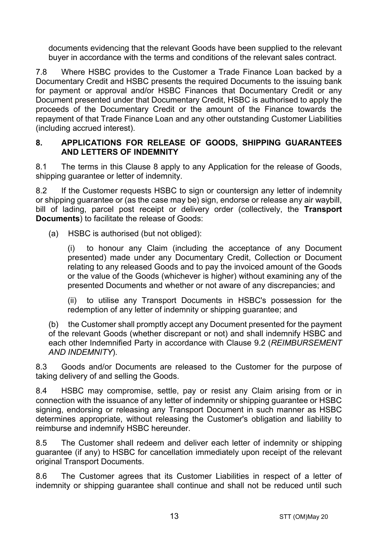documents evidencing that the relevant Goods have been supplied to the relevant buyer in accordance with the terms and conditions of the relevant sales contract.

7.8 Where HSBC provides to the Customer a Trade Finance Loan backed by a Documentary Credit and HSBC presents the required Documents to the issuing bank for payment or approval and/or HSBC Finances that Documentary Credit or any Document presented under that Documentary Credit, HSBC is authorised to apply the proceeds of the Documentary Credit or the amount of the Finance towards the repayment of that Trade Finance Loan and any other outstanding Customer Liabilities (including accrued interest).

#### <span id="page-12-0"></span>**8. APPLICATIONS FOR RELEASE OF GOODS, SHIPPING GUARANTEES AND LETTERS OF INDEMNITY**

8.1 The terms in this Clause [8](#page-12-0) apply to any Application for the release of Goods, shipping guarantee or letter of indemnity.

8.2 If the Customer requests HSBC to sign or countersign any letter of indemnity or shipping guarantee or (as the case may be) sign, endorse or release any air waybill, bill of lading, parcel post receipt or delivery order (collectively, the **Transport Documents**) to facilitate the release of Goods:

(a) HSBC is authorised (but not obliged):

(i) to honour any Claim (including the acceptance of any Document presented) made under any Documentary Credit, Collection or Document relating to any released Goods and to pay the invoiced amount of the Goods or the value of the Goods (whichever is higher) without examining any of the presented Documents and whether or not aware of any discrepancies; and

(ii) to utilise any Transport Documents in HSBC's possession for the redemption of any letter of indemnity or shipping guarantee; and

(b) the Customer shall promptly accept any Document presented for the payment of the relevant Goods (whether discrepant or not) and shall indemnify HSBC and each other Indemnified Party in accordance with Clause [9.2](#page-13-1) (*[REIMBURSEMENT](#page-13-0)  [AND INDEMNITY](#page-13-0)*).

8.3 Goods and/or Documents are released to the Customer for the purpose of taking delivery of and selling the Goods.

8.4 HSBC may compromise, settle, pay or resist any Claim arising from or in connection with the issuance of any letter of indemnity or shipping guarantee or HSBC signing, endorsing or releasing any Transport Document in such manner as HSBC determines appropriate, without releasing the Customer's obligation and liability to reimburse and indemnify HSBC hereunder.

8.5 The Customer shall redeem and deliver each letter of indemnity or shipping guarantee (if any) to HSBC for cancellation immediately upon receipt of the relevant original Transport Documents.

8.6 The Customer agrees that its Customer Liabilities in respect of a letter of indemnity or shipping guarantee shall continue and shall not be reduced until such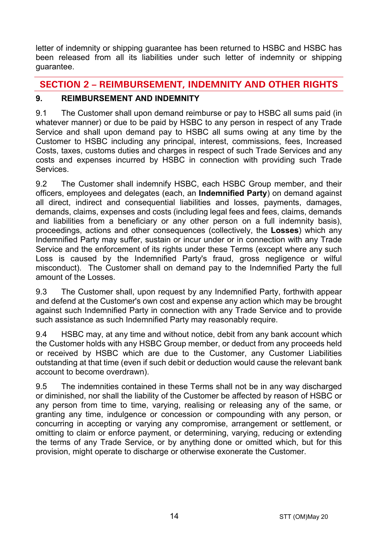letter of indemnity or shipping guarantee has been returned to HSBC and HSBC has been released from all its liabilities under such letter of indemnity or shipping guarantee.

# **SECTION 2 – REIMBURSEMENT, INDEMNITY AND OTHER RIGHTS**

# <span id="page-13-0"></span>**9. REIMBURSEMENT AND INDEMNITY**

9.1 The Customer shall upon demand reimburse or pay to HSBC all sums paid (in whatever manner) or due to be paid by HSBC to any person in respect of any Trade Service and shall upon demand pay to HSBC all sums owing at any time by the Customer to HSBC including any principal, interest, commissions, fees, Increased Costs, taxes, customs duties and charges in respect of such Trade Services and any costs and expenses incurred by HSBC in connection with providing such Trade **Services** 

<span id="page-13-1"></span>9.2 The Customer shall indemnify HSBC, each HSBC Group member, and their officers, employees and delegates (each, an **Indemnified Party**) on demand against all direct, indirect and consequential liabilities and losses, payments, damages, demands, claims, expenses and costs (including legal fees and fees, claims, demands and liabilities from a beneficiary or any other person on a full indemnity basis), proceedings, actions and other consequences (collectively, the **Losses**) which any Indemnified Party may suffer, sustain or incur under or in connection with any Trade Service and the enforcement of its rights under these Terms (except where any such Loss is caused by the Indemnified Party's fraud, gross negligence or wilful misconduct). The Customer shall on demand pay to the Indemnified Party the full amount of the Losses.

9.3 The Customer shall, upon request by any Indemnified Party, forthwith appear and defend at the Customer's own cost and expense any action which may be brought against such Indemnified Party in connection with any Trade Service and to provide such assistance as such Indemnified Party may reasonably require.

9.4 HSBC may, at any time and without notice, debit from any bank account which the Customer holds with any HSBC Group member, or deduct from any proceeds held or received by HSBC which are due to the Customer, any Customer Liabilities outstanding at that time (even if such debit or deduction would cause the relevant bank account to become overdrawn).

9.5 The indemnities contained in these Terms shall not be in any way discharged or diminished, nor shall the liability of the Customer be affected by reason of HSBC or any person from time to time, varying, realising or releasing any of the same, or granting any time, indulgence or concession or compounding with any person, or concurring in accepting or varying any compromise, arrangement or settlement, or omitting to claim or enforce payment, or determining, varying, reducing or extending the terms of any Trade Service, or by anything done or omitted which, but for this provision, might operate to discharge or otherwise exonerate the Customer.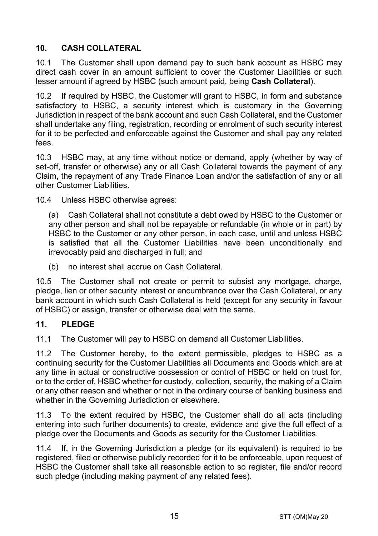# <span id="page-14-1"></span>**10. CASH COLLATERAL**

10.1 The Customer shall upon demand pay to such bank account as HSBC may direct cash cover in an amount sufficient to cover the Customer Liabilities or such lesser amount if agreed by HSBC (such amount paid, being **Cash Collateral**).

10.2 If required by HSBC, the Customer will grant to HSBC, in form and substance satisfactory to HSBC, a security interest which is customary in the Governing Jurisdiction in respect of the bank account and such Cash Collateral, and the Customer shall undertake any filing, registration, recording or enrolment of such security interest for it to be perfected and enforceable against the Customer and shall pay any related fees.

10.3 HSBC may, at any time without notice or demand, apply (whether by way of set-off, transfer or otherwise) any or all Cash Collateral towards the payment of any Claim, the repayment of any Trade Finance Loan and/or the satisfaction of any or all other Customer Liabilities.

10.4 Unless HSBC otherwise agrees:

(a) Cash Collateral shall not constitute a debt owed by HSBC to the Customer or any other person and shall not be repayable or refundable (in whole or in part) by HSBC to the Customer or any other person, in each case, until and unless HSBC is satisfied that all the Customer Liabilities have been unconditionally and irrevocably paid and discharged in full; and

(b) no interest shall accrue on Cash Collateral.

10.5 The Customer shall not create or permit to subsist any mortgage, charge, pledge, lien or other security interest or encumbrance over the Cash Collateral, or any bank account in which such Cash Collateral is held (except for any security in favour of HSBC) or assign, transfer or otherwise deal with the same.

## <span id="page-14-0"></span>**11. PLEDGE**

11.1 The Customer will pay to HSBC on demand all Customer Liabilities.

11.2 The Customer hereby, to the extent permissible, pledges to HSBC as a continuing security for the Customer Liabilities all Documents and Goods which are at any time in actual or constructive possession or control of HSBC or held on trust for, or to the order of, HSBC whether for custody, collection, security, the making of a Claim or any other reason and whether or not in the ordinary course of banking business and whether in the Governing Jurisdiction or elsewhere.

11.3 To the extent required by HSBC, the Customer shall do all acts (including entering into such further documents) to create, evidence and give the full effect of a pledge over the Documents and Goods as security for the Customer Liabilities.

11.4 If, in the Governing Jurisdiction a pledge (or its equivalent) is required to be registered, filed or otherwise publicly recorded for it to be enforceable, upon request of HSBC the Customer shall take all reasonable action to so register, file and/or record such pledge (including making payment of any related fees).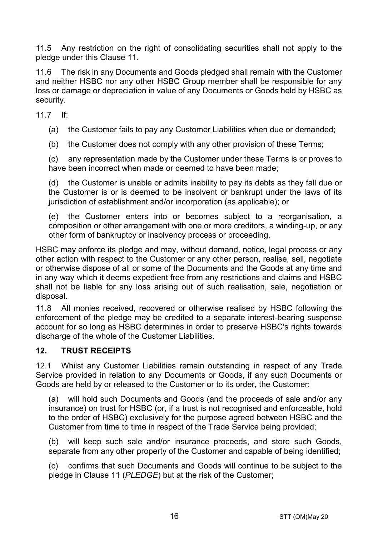11.5 Any restriction on the right of consolidating securities shall not apply to the pledge under this Clause [11.](#page-14-0)

11.6 The risk in any Documents and Goods pledged shall remain with the Customer and neither HSBC nor any other HSBC Group member shall be responsible for any loss or damage or depreciation in value of any Documents or Goods held by HSBC as security.

11.7 If:

(a) the Customer fails to pay any Customer Liabilities when due or demanded;

(b) the Customer does not comply with any other provision of these Terms;

(c) any representation made by the Customer under these Terms is or proves to have been incorrect when made or deemed to have been made;

(d) the Customer is unable or admits inability to pay its debts as they fall due or the Customer is or is deemed to be insolvent or bankrupt under the laws of its jurisdiction of establishment and/or incorporation (as applicable); or

(e) the Customer enters into or becomes subject to a reorganisation, a composition or other arrangement with one or more creditors, a winding-up, or any other form of bankruptcy or insolvency process or proceeding,

HSBC may enforce its pledge and may, without demand, notice, legal process or any other action with respect to the Customer or any other person, realise, sell, negotiate or otherwise dispose of all or some of the Documents and the Goods at any time and in any way which it deems expedient free from any restrictions and claims and HSBC shall not be liable for any loss arising out of such realisation, sale, negotiation or disposal.

11.8 All monies received, recovered or otherwise realised by HSBC following the enforcement of the pledge may be credited to a separate interest-bearing suspense account for so long as HSBC determines in order to preserve HSBC's rights towards discharge of the whole of the Customer Liabilities.

## **12. TRUST RECEIPTS**

12.1 Whilst any Customer Liabilities remain outstanding in respect of any Trade Service provided in relation to any Documents or Goods, if any such Documents or Goods are held by or released to the Customer or to its order, the Customer:

(a) will hold such Documents and Goods (and the proceeds of sale and/or any insurance) on trust for HSBC (or, if a trust is not recognised and enforceable, hold to the order of HSBC) exclusively for the purpose agreed between HSBC and the Customer from time to time in respect of the Trade Service being provided;

(b) will keep such sale and/or insurance proceeds, and store such Goods, separate from any other property of the Customer and capable of being identified;

(c) confirms that such Documents and Goods will continue to be subject to the pledge in Clause [11](#page-14-0) (*[PLEDGE](#page-14-0)*) but at the risk of the Customer;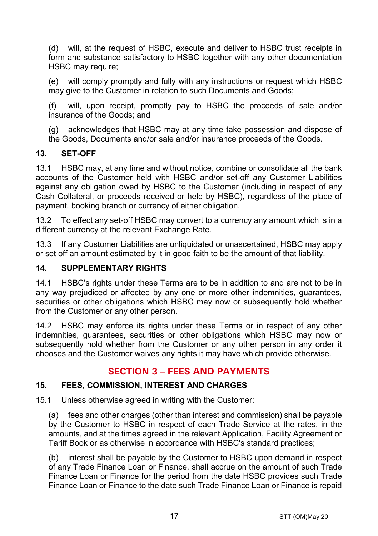(d) will, at the request of HSBC, execute and deliver to HSBC trust receipts in form and substance satisfactory to HSBC together with any other documentation HSBC may require:

(e) will comply promptly and fully with any instructions or request which HSBC may give to the Customer in relation to such Documents and Goods;

(f) will, upon receipt, promptly pay to HSBC the proceeds of sale and/or insurance of the Goods; and

(g) acknowledges that HSBC may at any time take possession and dispose of the Goods, Documents and/or sale and/or insurance proceeds of the Goods.

# **13. SET-OFF**

13.1 HSBC may, at any time and without notice, combine or consolidate all the bank accounts of the Customer held with HSBC and/or set-off any Customer Liabilities against any obligation owed by HSBC to the Customer (including in respect of any Cash Collateral, or proceeds received or held by HSBC), regardless of the place of payment, booking branch or currency of either obligation.

13.2 To effect any set-off HSBC may convert to a currency any amount which is in a different currency at the relevant Exchange Rate.

13.3 If any Customer Liabilities are unliquidated or unascertained, HSBC may apply or set off an amount estimated by it in good faith to be the amount of that liability.

## **14. SUPPLEMENTARY RIGHTS**

14.1 HSBC's rights under these Terms are to be in addition to and are not to be in any way prejudiced or affected by any one or more other indemnities, guarantees, securities or other obligations which HSBC may now or subsequently hold whether from the Customer or any other person.

14.2 HSBC may enforce its rights under these Terms or in respect of any other indemnities, guarantees, securities or other obligations which HSBC may now or subsequently hold whether from the Customer or any other person in any order it chooses and the Customer waives any rights it may have which provide otherwise.

# **SECTION 3 – FEES AND PAYMENTS**

## <span id="page-16-0"></span>**15. FEES, COMMISSION, INTEREST AND CHARGES**

15.1 Unless otherwise agreed in writing with the Customer:

(a) fees and other charges (other than interest and commission) shall be payable by the Customer to HSBC in respect of each Trade Service at the rates, in the amounts, and at the times agreed in the relevant Application, Facility Agreement or Tariff Book or as otherwise in accordance with HSBC's standard practices;

(b) interest shall be payable by the Customer to HSBC upon demand in respect of any Trade Finance Loan or Finance, shall accrue on the amount of such Trade Finance Loan or Finance for the period from the date HSBC provides such Trade Finance Loan or Finance to the date such Trade Finance Loan or Finance is repaid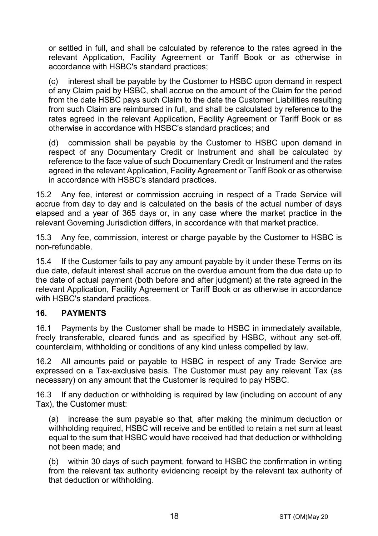or settled in full, and shall be calculated by reference to the rates agreed in the relevant Application, Facility Agreement or Tariff Book or as otherwise in accordance with HSBC's standard practices;

(c) interest shall be payable by the Customer to HSBC upon demand in respect of any Claim paid by HSBC, shall accrue on the amount of the Claim for the period from the date HSBC pays such Claim to the date the Customer Liabilities resulting from such Claim are reimbursed in full, and shall be calculated by reference to the rates agreed in the relevant Application, Facility Agreement or Tariff Book or as otherwise in accordance with HSBC's standard practices; and

(d) commission shall be payable by the Customer to HSBC upon demand in respect of any Documentary Credit or Instrument and shall be calculated by reference to the face value of such Documentary Credit or Instrument and the rates agreed in the relevant Application, Facility Agreement or Tariff Book or as otherwise in accordance with HSBC's standard practices.

15.2 Any fee, interest or commission accruing in respect of a Trade Service will accrue from day to day and is calculated on the basis of the actual number of days elapsed and a year of 365 days or, in any case where the market practice in the relevant Governing Jurisdiction differs, in accordance with that market practice.

15.3 Any fee, commission, interest or charge payable by the Customer to HSBC is non-refundable.

15.4 If the Customer fails to pay any amount payable by it under these Terms on its due date, default interest shall accrue on the overdue amount from the due date up to the date of actual payment (both before and after judgment) at the rate agreed in the relevant Application, Facility Agreement or Tariff Book or as otherwise in accordance with HSBC's standard practices.

## **16. PAYMENTS**

16.1 Payments by the Customer shall be made to HSBC in immediately available, freely transferable, cleared funds and as specified by HSBC, without any set-off, counterclaim, withholding or conditions of any kind unless compelled by law.

16.2 All amounts paid or payable to HSBC in respect of any Trade Service are expressed on a Tax-exclusive basis. The Customer must pay any relevant Tax (as necessary) on any amount that the Customer is required to pay HSBC.

16.3 If any deduction or withholding is required by law (including on account of any Tax), the Customer must:

(a) increase the sum payable so that, after making the minimum deduction or withholding required, HSBC will receive and be entitled to retain a net sum at least equal to the sum that HSBC would have received had that deduction or withholding not been made; and

(b) within 30 days of such payment, forward to HSBC the confirmation in writing from the relevant tax authority evidencing receipt by the relevant tax authority of that deduction or withholding.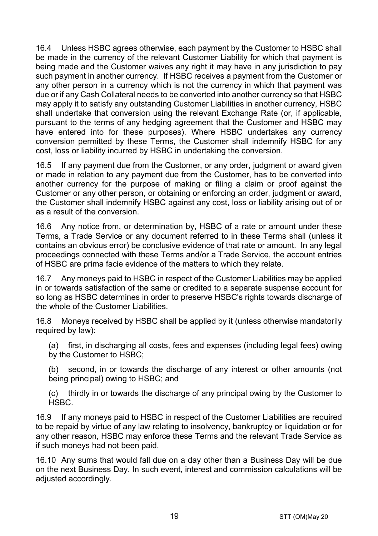16.4 Unless HSBC agrees otherwise, each payment by the Customer to HSBC shall be made in the currency of the relevant Customer Liability for which that payment is being made and the Customer waives any right it may have in any jurisdiction to pay such payment in another currency. If HSBC receives a payment from the Customer or any other person in a currency which is not the currency in which that payment was due or if any Cash Collateral needs to be converted into another currency so that HSBC may apply it to satisfy any outstanding Customer Liabilities in another currency, HSBC shall undertake that conversion using the relevant Exchange Rate (or, if applicable, pursuant to the terms of any hedging agreement that the Customer and HSBC may have entered into for these purposes). Where HSBC undertakes any currency conversion permitted by these Terms, the Customer shall indemnify HSBC for any cost, loss or liability incurred by HSBC in undertaking the conversion.

16.5 If any payment due from the Customer, or any order, judgment or award given or made in relation to any payment due from the Customer, has to be converted into another currency for the purpose of making or filing a claim or proof against the Customer or any other person, or obtaining or enforcing an order, judgment or award, the Customer shall indemnify HSBC against any cost, loss or liability arising out of or as a result of the conversion.

16.6 Any notice from, or determination by, HSBC of a rate or amount under these Terms, a Trade Service or any document referred to in these Terms shall (unless it contains an obvious error) be conclusive evidence of that rate or amount. In any legal proceedings connected with these Terms and/or a Trade Service, the account entries of HSBC are prima facie evidence of the matters to which they relate.

16.7 Any moneys paid to HSBC in respect of the Customer Liabilities may be applied in or towards satisfaction of the same or credited to a separate suspense account for so long as HSBC determines in order to preserve HSBC's rights towards discharge of the whole of the Customer Liabilities.

16.8 Moneys received by HSBC shall be applied by it (unless otherwise mandatorily required by law):

(a) first, in discharging all costs, fees and expenses (including legal fees) owing by the Customer to HSBC;

(b) second, in or towards the discharge of any interest or other amounts (not being principal) owing to HSBC; and

(c) thirdly in or towards the discharge of any principal owing by the Customer to HSBC.

16.9 If any moneys paid to HSBC in respect of the Customer Liabilities are required to be repaid by virtue of any law relating to insolvency, bankruptcy or liquidation or for any other reason, HSBC may enforce these Terms and the relevant Trade Service as if such moneys had not been paid.

16.10 Any sums that would fall due on a day other than a Business Day will be due on the next Business Day. In such event, interest and commission calculations will be adiusted accordingly.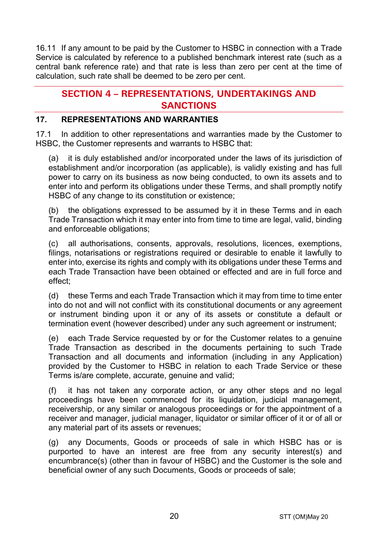16.11 If any amount to be paid by the Customer to HSBC in connection with a Trade Service is calculated by reference to a published benchmark interest rate (such as a central bank reference rate) and that rate is less than zero per cent at the time of calculation, such rate shall be deemed to be zero per cent.

# **SECTION 4 – REPRESENTATIONS, UNDERTAKINGS AND SANCTIONS**

## **17. REPRESENTATIONS AND WARRANTIES**

17.1 In addition to other representations and warranties made by the Customer to HSBC, the Customer represents and warrants to HSBC that:

(a) it is duly established and/or incorporated under the laws of its jurisdiction of establishment and/or incorporation (as applicable), is validly existing and has full power to carry on its business as now being conducted, to own its assets and to enter into and perform its obligations under these Terms, and shall promptly notify HSBC of any change to its constitution or existence;

(b) the obligations expressed to be assumed by it in these Terms and in each Trade Transaction which it may enter into from time to time are legal, valid, binding and enforceable obligations;

(c) all authorisations, consents, approvals, resolutions, licences, exemptions, filings, notarisations or registrations required or desirable to enable it lawfully to enter into, exercise its rights and comply with its obligations under these Terms and each Trade Transaction have been obtained or effected and are in full force and effect;

(d) these Terms and each Trade Transaction which it may from time to time enter into do not and will not conflict with its constitutional documents or any agreement or instrument binding upon it or any of its assets or constitute a default or termination event (however described) under any such agreement or instrument;

(e) each Trade Service requested by or for the Customer relates to a genuine Trade Transaction as described in the documents pertaining to such Trade Transaction and all documents and information (including in any Application) provided by the Customer to HSBC in relation to each Trade Service or these Terms is/are complete, accurate, genuine and valid;

(f) it has not taken any corporate action, or any other steps and no legal proceedings have been commenced for its liquidation, judicial management, receivership, or any similar or analogous proceedings or for the appointment of a receiver and manager, judicial manager, liquidator or similar officer of it or of all or any material part of its assets or revenues;

(g) any Documents, Goods or proceeds of sale in which HSBC has or is purported to have an interest are free from any security interest(s) and encumbrance(s) (other than in favour of HSBC) and the Customer is the sole and beneficial owner of any such Documents, Goods or proceeds of sale;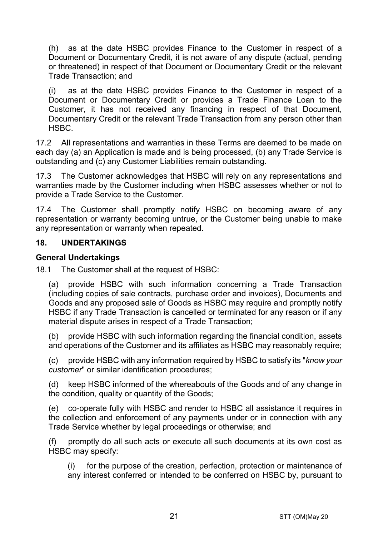(h) as at the date HSBC provides Finance to the Customer in respect of a Document or Documentary Credit, it is not aware of any dispute (actual, pending or threatened) in respect of that Document or Documentary Credit or the relevant Trade Transaction; and

(i) as at the date HSBC provides Finance to the Customer in respect of a Document or Documentary Credit or provides a Trade Finance Loan to the Customer, it has not received any financing in respect of that Document, Documentary Credit or the relevant Trade Transaction from any person other than HSBC.

17.2 All representations and warranties in these Terms are deemed to be made on each day (a) an Application is made and is being processed, (b) any Trade Service is outstanding and (c) any Customer Liabilities remain outstanding.

17.3 The Customer acknowledges that HSBC will rely on any representations and warranties made by the Customer including when HSBC assesses whether or not to provide a Trade Service to the Customer.

17.4 The Customer shall promptly notify HSBC on becoming aware of any representation or warranty becoming untrue, or the Customer being unable to make any representation or warranty when repeated.

#### **18. UNDERTAKINGS**

#### **General Undertakings**

18.1 The Customer shall at the request of HSBC:

(a) provide HSBC with such information concerning a Trade Transaction (including copies of sale contracts, purchase order and invoices), Documents and Goods and any proposed sale of Goods as HSBC may require and promptly notify HSBC if any Trade Transaction is cancelled or terminated for any reason or if any material dispute arises in respect of a Trade Transaction;

(b) provide HSBC with such information regarding the financial condition, assets and operations of the Customer and its affiliates as HSBC may reasonably require;

(c) provide HSBC with any information required by HSBC to satisfy its "*know your customer*" or similar identification procedures;

(d) keep HSBC informed of the whereabouts of the Goods and of any change in the condition, quality or quantity of the Goods;

(e) co-operate fully with HSBC and render to HSBC all assistance it requires in the collection and enforcement of any payments under or in connection with any Trade Service whether by legal proceedings or otherwise; and

(f) promptly do all such acts or execute all such documents at its own cost as HSBC may specify:

(i) for the purpose of the creation, perfection, protection or maintenance of any interest conferred or intended to be conferred on HSBC by, pursuant to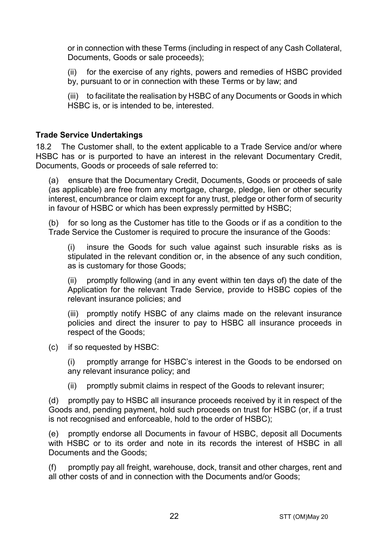or in connection with these Terms (including in respect of any Cash Collateral, Documents, Goods or sale proceeds);

(ii) for the exercise of any rights, powers and remedies of HSBC provided by, pursuant to or in connection with these Terms or by law; and

(iii) to facilitate the realisation by HSBC of any Documents or Goods in which HSBC is, or is intended to be, interested.

#### **Trade Service Undertakings**

18.2 The Customer shall, to the extent applicable to a Trade Service and/or where HSBC has or is purported to have an interest in the relevant Documentary Credit, Documents, Goods or proceeds of sale referred to:

(a) ensure that the Documentary Credit, Documents, Goods or proceeds of sale (as applicable) are free from any mortgage, charge, pledge, lien or other security interest, encumbrance or claim except for any trust, pledge or other form of security in favour of HSBC or which has been expressly permitted by HSBC;

(b) for so long as the Customer has title to the Goods or if as a condition to the Trade Service the Customer is required to procure the insurance of the Goods:

(i) insure the Goods for such value against such insurable risks as is stipulated in the relevant condition or, in the absence of any such condition, as is customary for those Goods;

(ii) promptly following (and in any event within ten days of) the date of the Application for the relevant Trade Service, provide to HSBC copies of the relevant insurance policies; and

(iii) promptly notify HSBC of any claims made on the relevant insurance policies and direct the insurer to pay to HSBC all insurance proceeds in respect of the Goods;

(c) if so requested by HSBC:

(i) promptly arrange for HSBC's interest in the Goods to be endorsed on any relevant insurance policy; and

(ii) promptly submit claims in respect of the Goods to relevant insurer;

(d) promptly pay to HSBC all insurance proceeds received by it in respect of the Goods and, pending payment, hold such proceeds on trust for HSBC (or, if a trust is not recognised and enforceable, hold to the order of HSBC);

(e) promptly endorse all Documents in favour of HSBC, deposit all Documents with HSBC or to its order and note in its records the interest of HSBC in all Documents and the Goods;

(f) promptly pay all freight, warehouse, dock, transit and other charges, rent and all other costs of and in connection with the Documents and/or Goods;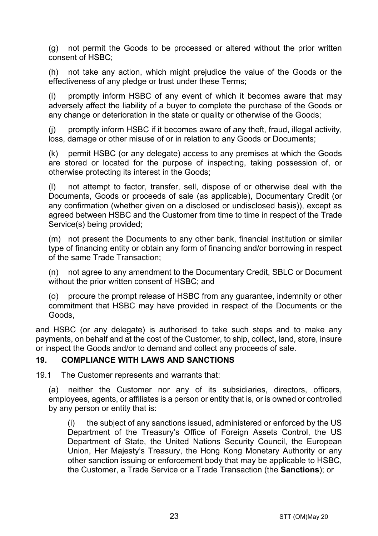(g) not permit the Goods to be processed or altered without the prior written consent of HSBC;

(h) not take any action, which might prejudice the value of the Goods or the effectiveness of any pledge or trust under these Terms;

(i) promptly inform HSBC of any event of which it becomes aware that may adversely affect the liability of a buyer to complete the purchase of the Goods or any change or deterioration in the state or quality or otherwise of the Goods;

(j) promptly inform HSBC if it becomes aware of any theft, fraud, illegal activity, loss, damage or other misuse of or in relation to any Goods or Documents;

(k) permit HSBC (or any delegate) access to any premises at which the Goods are stored or located for the purpose of inspecting, taking possession of, or otherwise protecting its interest in the Goods;

(l) not attempt to factor, transfer, sell, dispose of or otherwise deal with the Documents, Goods or proceeds of sale (as applicable), Documentary Credit (or any confirmation (whether given on a disclosed or undisclosed basis)), except as agreed between HSBC and the Customer from time to time in respect of the Trade Service(s) being provided;

(m) not present the Documents to any other bank, financial institution or similar type of financing entity or obtain any form of financing and/or borrowing in respect of the same Trade Transaction;

(n) not agree to any amendment to the Documentary Credit, SBLC or Document without the prior written consent of HSBC; and

(o) procure the prompt release of HSBC from any guarantee, indemnity or other commitment that HSBC may have provided in respect of the Documents or the Goods,

and HSBC (or any delegate) is authorised to take such steps and to make any payments, on behalf and at the cost of the Customer, to ship, collect, land, store, insure or inspect the Goods and/or to demand and collect any proceeds of sale.

#### <span id="page-22-0"></span>**19. COMPLIANCE WITH LAWS AND SANCTIONS**

19.1 The Customer represents and warrants that:

(a) neither the Customer nor any of its subsidiaries, directors, officers, employees, agents, or affiliates is a person or entity that is, or is owned or controlled by any person or entity that is:

(i) the subject of any sanctions issued, administered or enforced by the US Department of the Treasury's Office of Foreign Assets Control, the US Department of State, the United Nations Security Council, the European Union, Her Majesty's Treasury, the Hong Kong Monetary Authority or any other sanction issuing or enforcement body that may be applicable to HSBC, the Customer, a Trade Service or a Trade Transaction (the **Sanctions**); or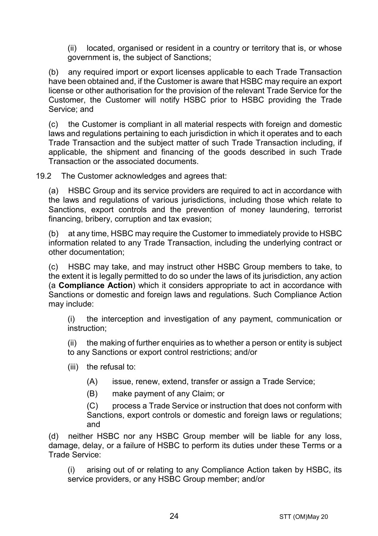(ii) located, organised or resident in a country or territory that is, or whose government is, the subject of Sanctions;

(b) any required import or export licenses applicable to each Trade Transaction have been obtained and, if the Customer is aware that HSBC may require an export license or other authorisation for the provision of the relevant Trade Service for the Customer, the Customer will notify HSBC prior to HSBC providing the Trade Service; and

(c) the Customer is compliant in all material respects with foreign and domestic laws and regulations pertaining to each jurisdiction in which it operates and to each Trade Transaction and the subject matter of such Trade Transaction including, if applicable, the shipment and financing of the goods described in such Trade Transaction or the associated documents.

19.2 The Customer acknowledges and agrees that:

(a) HSBC Group and its service providers are required to act in accordance with the laws and regulations of various jurisdictions, including those which relate to Sanctions, export controls and the prevention of money laundering, terrorist financing, bribery, corruption and tax evasion;

(b) at any time, HSBC may require the Customer to immediately provide to HSBC information related to any Trade Transaction, including the underlying contract or other documentation;

(c) HSBC may take, and may instruct other HSBC Group members to take, to the extent it is legally permitted to do so under the laws of its jurisdiction, any action (a **Compliance Action**) which it considers appropriate to act in accordance with Sanctions or domestic and foreign laws and regulations. Such Compliance Action may include:

(i) the interception and investigation of any payment, communication or instruction;

(ii) the making of further enquiries as to whether a person or entity is subject to any Sanctions or export control restrictions; and/or

- (iii) the refusal to:
	- (A) issue, renew, extend, transfer or assign a Trade Service;
	- (B) make payment of any Claim; or

(C) process a Trade Service or instruction that does not conform with Sanctions, export controls or domestic and foreign laws or regulations; and

(d) neither HSBC nor any HSBC Group member will be liable for any loss, damage, delay, or a failure of HSBC to perform its duties under these Terms or a Trade Service:

(i) arising out of or relating to any Compliance Action taken by HSBC, its service providers, or any HSBC Group member; and/or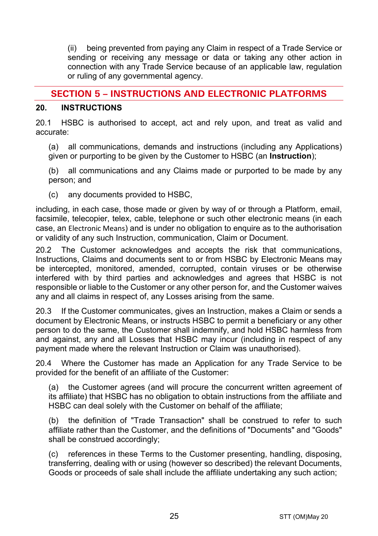(ii) being prevented from paying any Claim in respect of a Trade Service or sending or receiving any message or data or taking any other action in connection with any Trade Service because of an applicable law, regulation or ruling of any governmental agency.

# **SECTION 5 – INSTRUCTIONS AND ELECTRONIC PLATFORMS**

#### <span id="page-24-0"></span>**20. INSTRUCTIONS**

20.1 HSBC is authorised to accept, act and rely upon, and treat as valid and accurate:

(a) all communications, demands and instructions (including any Applications) given or purporting to be given by the Customer to HSBC (an **Instruction**);

(b) all communications and any Claims made or purported to be made by any person; and

(c) any documents provided to HSBC,

including, in each case, those made or given by way of or through a Platform, email, facsimile, telecopier, telex, cable, telephone or such other electronic means (in each case, an Electronic Means) and is under no obligation to enquire as to the authorisation or validity of any such Instruction, communication, Claim or Document.

20.2 The Customer acknowledges and accepts the risk that communications, Instructions, Claims and documents sent to or from HSBC by Electronic Means may be intercepted, monitored, amended, corrupted, contain viruses or be otherwise interfered with by third parties and acknowledges and agrees that HSBC is not responsible or liable to the Customer or any other person for, and the Customer waives any and all claims in respect of, any Losses arising from the same.

20.3 If the Customer communicates, gives an Instruction, makes a Claim or sends a document by Electronic Means, or instructs HSBC to permit a beneficiary or any other person to do the same, the Customer shall indemnify, and hold HSBC harmless from and against, any and all Losses that HSBC may incur (including in respect of any payment made where the relevant Instruction or Claim was unauthorised).

20.4 Where the Customer has made an Application for any Trade Service to be provided for the benefit of an affiliate of the Customer:

(a) the Customer agrees (and will procure the concurrent written agreement of its affiliate) that HSBC has no obligation to obtain instructions from the affiliate and HSBC can deal solely with the Customer on behalf of the affiliate;

(b) the definition of "Trade Transaction" shall be construed to refer to such affiliate rather than the Customer, and the definitions of "Documents" and "Goods" shall be construed accordingly;

(c) references in these Terms to the Customer presenting, handling, disposing, transferring, dealing with or using (however so described) the relevant Documents, Goods or proceeds of sale shall include the affiliate undertaking any such action;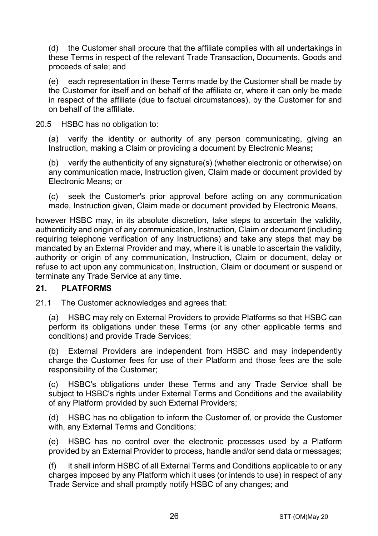(d) the Customer shall procure that the affiliate complies with all undertakings in these Terms in respect of the relevant Trade Transaction, Documents, Goods and proceeds of sale; and

(e) each representation in these Terms made by the Customer shall be made by the Customer for itself and on behalf of the affiliate or, where it can only be made in respect of the affiliate (due to factual circumstances), by the Customer for and on behalf of the affiliate.

20.5 HSBC has no obligation to:

(a) verify the identity or authority of any person communicating, giving an Instruction, making a Claim or providing a document by Electronic Means**;**

(b) verify the authenticity of any signature(s) (whether electronic or otherwise) on any communication made, Instruction given, Claim made or document provided by Electronic Means; or

(c) seek the Customer's prior approval before acting on any communication made, Instruction given, Claim made or document provided by Electronic Means,

however HSBC may, in its absolute discretion, take steps to ascertain the validity, authenticity and origin of any communication, Instruction, Claim or document (including requiring telephone verification of any Instructions) and take any steps that may be mandated by an External Provider and may, where it is unable to ascertain the validity, authority or origin of any communication, Instruction, Claim or document, delay or refuse to act upon any communication, Instruction, Claim or document or suspend or terminate any Trade Service at any time.

## **21. PLATFORMS**

21.1 The Customer acknowledges and agrees that:

(a) HSBC may rely on External Providers to provide Platforms so that HSBC can perform its obligations under these Terms (or any other applicable terms and conditions) and provide Trade Services;

(b) External Providers are independent from HSBC and may independently charge the Customer fees for use of their Platform and those fees are the sole responsibility of the Customer;

(c) HSBC's obligations under these Terms and any Trade Service shall be subject to HSBC's rights under External Terms and Conditions and the availability of any Platform provided by such External Providers;

(d) HSBC has no obligation to inform the Customer of, or provide the Customer with, any External Terms and Conditions;

(e) HSBC has no control over the electronic processes used by a Platform provided by an External Provider to process, handle and/or send data or messages;

(f) it shall inform HSBC of all External Terms and Conditions applicable to or any charges imposed by any Platform which it uses (or intends to use) in respect of any Trade Service and shall promptly notify HSBC of any changes; and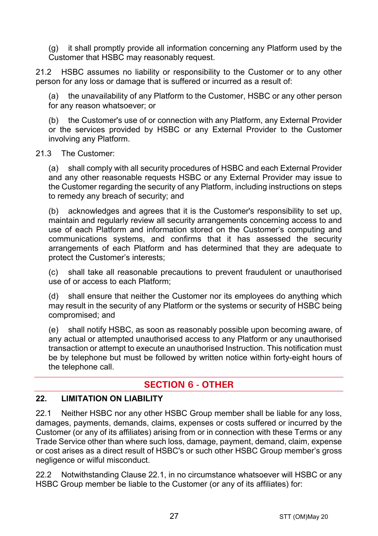(g) it shall promptly provide all information concerning any Platform used by the Customer that HSBC may reasonably request.

21.2 HSBC assumes no liability or responsibility to the Customer or to any other person for any loss or damage that is suffered or incurred as a result of:

the unavailability of any Platform to the Customer, HSBC or any other person for any reason whatsoever; or

(b) the Customer's use of or connection with any Platform, any External Provider or the services provided by HSBC or any External Provider to the Customer involving any Platform.

#### 21.3 The Customer:

(a) shall comply with all security procedures of HSBC and each External Provider and any other reasonable requests HSBC or any External Provider may issue to the Customer regarding the security of any Platform, including instructions on steps to remedy any breach of security; and

(b) acknowledges and agrees that it is the Customer's responsibility to set up, maintain and regularly review all security arrangements concerning access to and use of each Platform and information stored on the Customer's computing and communications systems, and confirms that it has assessed the security arrangements of each Platform and has determined that they are adequate to protect the Customer's interests;

(c) shall take all reasonable precautions to prevent fraudulent or unauthorised use of or access to each Platform;

(d) shall ensure that neither the Customer nor its employees do anything which may result in the security of any Platform or the systems or security of HSBC being compromised; and

(e) shall notify HSBC, as soon as reasonably possible upon becoming aware, of any actual or attempted unauthorised access to any Platform or any unauthorised transaction or attempt to execute an unauthorised Instruction. This notification must be by telephone but must be followed by written notice within forty-eight hours of the telephone call.

# **SECTION 6 - OTHER**

#### **22. LIMITATION ON LIABILITY**

<span id="page-26-0"></span>22.1 Neither HSBC nor any other HSBC Group member shall be liable for any loss, damages, payments, demands, claims, expenses or costs suffered or incurred by the Customer (or any of its affiliates) arising from or in connection with these Terms or any Trade Service other than where such loss, damage, payment, demand, claim, expense or cost arises as a direct result of HSBC's or such other HSBC Group member's gross negligence or wilful misconduct.

<span id="page-26-1"></span>22.2 Notwithstanding Clause [22.1,](#page-26-0) in no circumstance whatsoever will HSBC or any HSBC Group member be liable to the Customer (or any of its affiliates) for: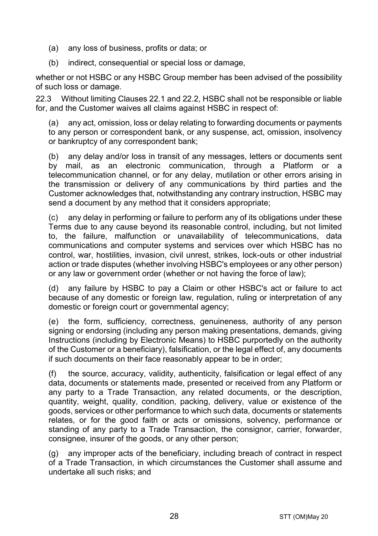- (a) any loss of business, profits or data; or
- (b) indirect, consequential or special loss or damage,

whether or not HSBC or any HSBC Group member has been advised of the possibility of such loss or damage.

22.3 Without limiting Clauses [22.1](#page-26-0) and [22.2,](#page-26-1) HSBC shall not be responsible or liable for, and the Customer waives all claims against HSBC in respect of:

(a) any act, omission, loss or delay relating to forwarding documents or payments to any person or correspondent bank, or any suspense, act, omission, insolvency or bankruptcy of any correspondent bank;

(b) any delay and/or loss in transit of any messages, letters or documents sent by mail, as an electronic communication, through a Platform or a telecommunication channel, or for any delay, mutilation or other errors arising in the transmission or delivery of any communications by third parties and the Customer acknowledges that, notwithstanding any contrary instruction, HSBC may send a document by any method that it considers appropriate;

(c) any delay in performing or failure to perform any of its obligations under these Terms due to any cause beyond its reasonable control, including, but not limited to, the failure, malfunction or unavailability of telecommunications, data communications and computer systems and services over which HSBC has no control, war, hostilities, invasion, civil unrest, strikes, lock-outs or other industrial action or trade disputes (whether involving HSBC's employees or any other person) or any law or government order (whether or not having the force of law);

(d) any failure by HSBC to pay a Claim or other HSBC's act or failure to act because of any domestic or foreign law, regulation, ruling or interpretation of any domestic or foreign court or governmental agency;

(e) the form, sufficiency, correctness, genuineness, authority of any person signing or endorsing (including any person making presentations, demands, giving Instructions (including by Electronic Means) to HSBC purportedly on the authority of the Customer or a beneficiary), falsification, or the legal effect of, any documents if such documents on their face reasonably appear to be in order;

(f) the source, accuracy, validity, authenticity, falsification or legal effect of any data, documents or statements made, presented or received from any Platform or any party to a Trade Transaction, any related documents, or the description, quantity, weight, quality, condition, packing, delivery, value or existence of the goods, services or other performance to which such data, documents or statements relates, or for the good faith or acts or omissions, solvency, performance or standing of any party to a Trade Transaction, the consignor, carrier, forwarder, consignee, insurer of the goods, or any other person;

(g) any improper acts of the beneficiary, including breach of contract in respect of a Trade Transaction, in which circumstances the Customer shall assume and undertake all such risks; and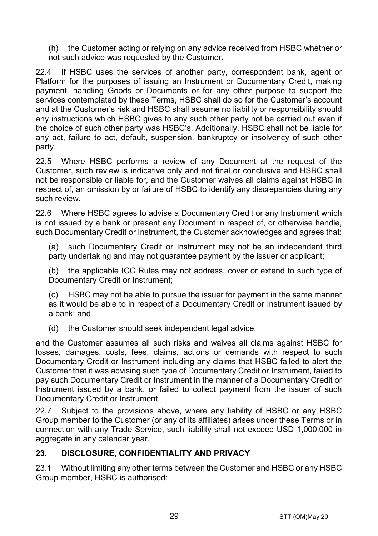(h) the Customer acting or relying on any advice received from HSBC whether or not such advice was requested by the Customer.

22.4 If HSBC uses the services of another party, correspondent bank, agent or Platform for the purposes of issuing an Instrument or Documentary Credit, making payment, handling Goods or Documents or for any other purpose to support the services contemplated by these Terms, HSBC shall do so for the Customer's account and at the Customer's risk and HSBC shall assume no liability or responsibility should any instructions which HSBC gives to any such other party not be carried out even if the choice of such other party was HSBC's. Additionally, HSBC shall not be liable for any act, failure to act, default, suspension, bankruptcy or insolvency of such other party.

22.5 Where HSBC performs a review of any Document at the request of the Customer, such review is indicative only and not final or conclusive and HSBC shall not be responsible or liable for, and the Customer waives all claims against HSBC in respect of, an omission by or failure of HSBC to identify any discrepancies during any such review.

22.6 Where HSBC agrees to advise a Documentary Credit or any Instrument which is not issued by a bank or present any Document in respect of, or otherwise handle, such Documentary Credit or Instrument, the Customer acknowledges and agrees that:

(a) such Documentary Credit or Instrument may not be an independent third party undertaking and may not quarantee payment by the issuer or applicant;

(b) the applicable ICC Rules may not address, cover or extend to such type of Documentary Credit or Instrument;

(c) HSBC may not be able to pursue the issuer for payment in the same manner as it would be able to in respect of a Documentary Credit or Instrument issued by a bank; and

(d) the Customer should seek independent legal advice,

and the Customer assumes all such risks and waives all claims against HSBC for losses, damages, costs, fees, claims, actions or demands with respect to such Documentary Credit or Instrument including any claims that HSBC failed to alert the Customer that it was advising such type of Documentary Credit or Instrument, failed to pay such Documentary Credit or Instrument in the manner of a Documentary Credit or Instrument issued by a bank, or failed to collect payment from the issuer of such Documentary Credit or Instrument.

22.7 Subject to the provisions above, where any liability of HSBC or any HSBC Group member to the Customer (or any of its affiliates) arises under these Terms or in connection with any Trade Service, such liability shall not exceed USD 1,000,000 in aggregate in any calendar year.

## <span id="page-28-0"></span>**23. DISCLOSURE, CONFIDENTIALITY AND PRIVACY**

23.1 Without limiting any other terms between the Customer and HSBC or any HSBC Group member, HSBC is authorised: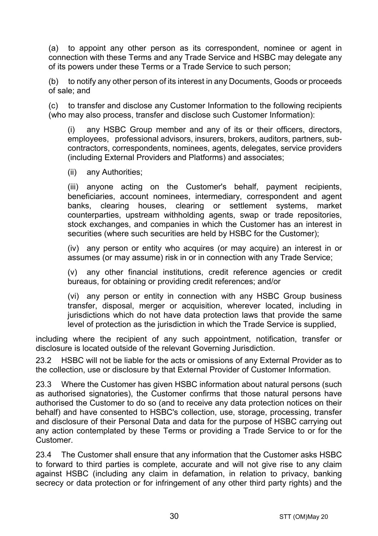<span id="page-29-0"></span>(a) to appoint any other person as its correspondent, nominee or agent in connection with these Terms and any Trade Service and HSBC may delegate any of its powers under these Terms or a Trade Service to such person;

(b) to notify any other person of its interest in any Documents, Goods or proceeds of sale; and

(c) to transfer and disclose any Customer Information to the following recipients (who may also process, transfer and disclose such Customer Information):

(i) any HSBC Group member and any of its or their officers, directors, employees, professional advisors, insurers, brokers, auditors, partners, subcontractors, correspondents, nominees, agents, delegates, service providers (including External Providers and Platforms) and associates;

(ii) any Authorities;

(iii) anyone acting on the Customer's behalf, payment recipients, beneficiaries, account nominees, intermediary, correspondent and agent banks, clearing houses, clearing or settlement systems, market counterparties, upstream withholding agents, swap or trade repositories, stock exchanges, and companies in which the Customer has an interest in securities (where such securities are held by HSBC for the Customer);

(iv) any person or entity who acquires (or may acquire) an interest in or assumes (or may assume) risk in or in connection with any Trade Service;

(v) any other financial institutions, credit reference agencies or credit bureaus, for obtaining or providing credit references; and/or

(vi) any person or entity in connection with any HSBC Group business transfer, disposal, merger or acquisition, wherever located, including in jurisdictions which do not have data protection laws that provide the same level of protection as the jurisdiction in which the Trade Service is supplied,

including where the recipient of any such appointment, notification, transfer or disclosure is located outside of the relevant Governing Jurisdiction.

23.2 HSBC will not be liable for the acts or omissions of any External Provider as to the collection, use or disclosure by that External Provider of Customer Information.

23.3 Where the Customer has given HSBC information about natural persons (such as authorised signatories), the Customer confirms that those natural persons have authorised the Customer to do so (and to receive any data protection notices on their behalf) and have consented to HSBC's collection, use, storage, processing, transfer and disclosure of their Personal Data and data for the purpose of HSBC carrying out any action contemplated by these Terms or providing a Trade Service to or for the Customer.

23.4 The Customer shall ensure that any information that the Customer asks HSBC to forward to third parties is complete, accurate and will not give rise to any claim against HSBC (including any claim in defamation, in relation to privacy, banking secrecy or data protection or for infringement of any other third party rights) and the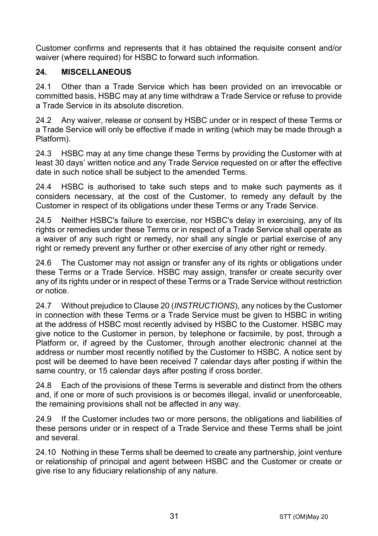Customer confirms and represents that it has obtained the requisite consent and/or waiver (where required) for HSBC to forward such information.

# **24. MISCELLANEOUS**

24.1 Other than a Trade Service which has been provided on an irrevocable or committed basis, HSBC may at any time withdraw a Trade Service or refuse to provide a Trade Service in its absolute discretion.

24.2 Any waiver, release or consent by HSBC under or in respect of these Terms or a Trade Service will only be effective if made in writing (which may be made through a Platform).

24.3 HSBC may at any time change these Terms by providing the Customer with at least 30 days' written notice and any Trade Service requested on or after the effective date in such notice shall be subject to the amended Terms.

24.4 HSBC is authorised to take such steps and to make such payments as it considers necessary, at the cost of the Customer, to remedy any default by the Customer in respect of its obligations under these Terms or any Trade Service.

24.5 Neither HSBC's failure to exercise, nor HSBC's delay in exercising, any of its rights or remedies under these Terms or in respect of a Trade Service shall operate as a waiver of any such right or remedy, nor shall any single or partial exercise of any right or remedy prevent any further or other exercise of any other right or remedy.

24.6 The Customer may not assign or transfer any of its rights or obligations under these Terms or a Trade Service. HSBC may assign, transfer or create security over any of its rights under or in respect of these Terms or a Trade Service without restriction or notice.

24.7 Without prejudice to Claus[e 20](#page-24-0) (*[INSTRUCTIONS](#page-24-0)*), any notices by the Customer in connection with these Terms or a Trade Service must be given to HSBC in writing at the address of HSBC most recently advised by HSBC to the Customer. HSBC may give notice to the Customer in person, by telephone or facsimile, by post, through a Platform or, if agreed by the Customer, through another electronic channel at the address or number most recently notified by the Customer to HSBC. A notice sent by post will be deemed to have been received 7 calendar days after posting if within the same country, or 15 calendar days after posting if cross border.

24.8 Each of the provisions of these Terms is severable and distinct from the others and, if one or more of such provisions is or becomes illegal, invalid or unenforceable, the remaining provisions shall not be affected in any way.

24.9 If the Customer includes two or more persons, the obligations and liabilities of these persons under or in respect of a Trade Service and these Terms shall be joint and several.

24.10 Nothing in these Terms shall be deemed to create any partnership, joint venture or relationship of principal and agent between HSBC and the Customer or create or give rise to any fiduciary relationship of any nature.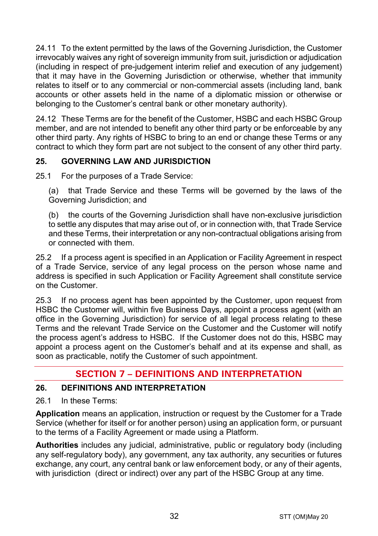24.11 To the extent permitted by the laws of the Governing Jurisdiction, the Customer irrevocably waives any right of sovereign immunity from suit, jurisdiction or adjudication (including in respect of pre-judgement interim relief and execution of any judgement) that it may have in the Governing Jurisdiction or otherwise, whether that immunity relates to itself or to any commercial or non-commercial assets (including land, bank accounts or other assets held in the name of a diplomatic mission or otherwise or belonging to the Customer's central bank or other monetary authority).

24.12 These Terms are for the benefit of the Customer, HSBC and each HSBC Group member, and are not intended to benefit any other third party or be enforceable by any other third party. Any rights of HSBC to bring to an end or change these Terms or any contract to which they form part are not subject to the consent of any other third party.

# **25. GOVERNING LAW AND JURISDICTION**

25.1 For the purposes of a Trade Service:

(a) that Trade Service and these Terms will be governed by the laws of the Governing Jurisdiction; and

(b) the courts of the Governing Jurisdiction shall have non-exclusive jurisdiction to settle any disputes that may arise out of, or in connection with, that Trade Service and these Terms, their interpretation or any non-contractual obligations arising from or connected with them.

25.2 If a process agent is specified in an Application or Facility Agreement in respect of a Trade Service, service of any legal process on the person whose name and address is specified in such Application or Facility Agreement shall constitute service on the Customer.

25.3 If no process agent has been appointed by the Customer, upon request from HSBC the Customer will, within five Business Days, appoint a process agent (with an office in the Governing Jurisdiction) for service of all legal process relating to these Terms and the relevant Trade Service on the Customer and the Customer will notify the process agent's address to HSBC. If the Customer does not do this, HSBC may appoint a process agent on the Customer's behalf and at its expense and shall, as soon as practicable, notify the Customer of such appointment.

# **SECTION 7 – DEFINITIONS AND INTERPRETATION**

## **26. DEFINITIONS AND INTERPRETATION**

26.1 In these Terms:

**Application** means an application, instruction or request by the Customer for a Trade Service (whether for itself or for another person) using an application form, or pursuant to the terms of a Facility Agreement or made using a Platform.

**Authorities** includes any judicial, administrative, public or regulatory body (including any self-regulatory body), any government, any tax authority, any securities or futures exchange, any court, any central bank or law enforcement body, or any of their agents, with jurisdiction (direct or indirect) over any part of the HSBC Group at any time.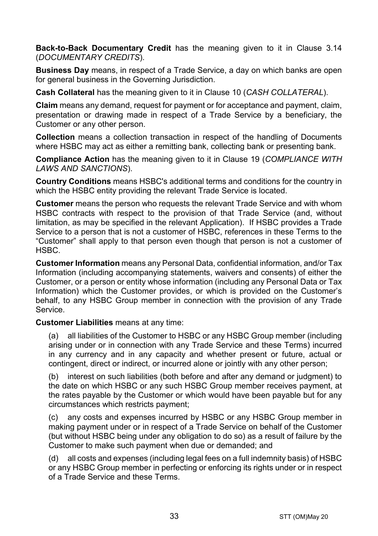**Back-to-Back Documentary Credit** has the meaning given to it in Clause [3.14](#page-5-0) (*[DOCUMENTARY CREDITS](#page-3-0)*).

**Business Day** means, in respect of a Trade Service, a day on which banks are open for general business in the Governing Jurisdiction.

**Cash Collateral** has the meaning given to it in Clause [10](#page-14-1) (*[CASH COLLATERAL](#page-14-1)*).

**Claim** means any demand, request for payment or for acceptance and payment, claim, presentation or drawing made in respect of a Trade Service by a beneficiary, the Customer or any other person.

**Collection** means a collection transaction in respect of the handling of Documents where HSBC may act as either a remitting bank, collecting bank or presenting bank.

**Compliance Action** has the meaning given to it in Clause [19](#page-22-0) (*[COMPLIANCE WITH](#page-22-0)  [LAWS AND SANCTIONS](#page-22-0)*).

**Country Conditions** means HSBC's additional terms and conditions for the country in which the HSBC entity providing the relevant Trade Service is located.

**Customer** means the person who requests the relevant Trade Service and with whom HSBC contracts with respect to the provision of that Trade Service (and, without limitation, as may be specified in the relevant Application). If HSBC provides a Trade Service to a person that is not a customer of HSBC, references in these Terms to the "Customer" shall apply to that person even though that person is not a customer of HSBC.

**Customer Information** means any Personal Data, confidential information, and/or Tax Information (including accompanying statements, waivers and consents) of either the Customer, or a person or entity whose information (including any Personal Data or Tax Information) which the Customer provides, or which is provided on the Customer's behalf, to any HSBC Group member in connection with the provision of any Trade Service.

**Customer Liabilities** means at any time:

(a) all liabilities of the Customer to HSBC or any HSBC Group member (including arising under or in connection with any Trade Service and these Terms) incurred in any currency and in any capacity and whether present or future, actual or contingent, direct or indirect, or incurred alone or jointly with any other person;

(b) interest on such liabilities (both before and after any demand or judgment) to the date on which HSBC or any such HSBC Group member receives payment, at the rates payable by the Customer or which would have been payable but for any circumstances which restricts payment;

(c) any costs and expenses incurred by HSBC or any HSBC Group member in making payment under or in respect of a Trade Service on behalf of the Customer (but without HSBC being under any obligation to do so) as a result of failure by the Customer to make such payment when due or demanded; and

(d) all costs and expenses (including legal fees on a full indemnity basis) of HSBC or any HSBC Group member in perfecting or enforcing its rights under or in respect of a Trade Service and these Terms.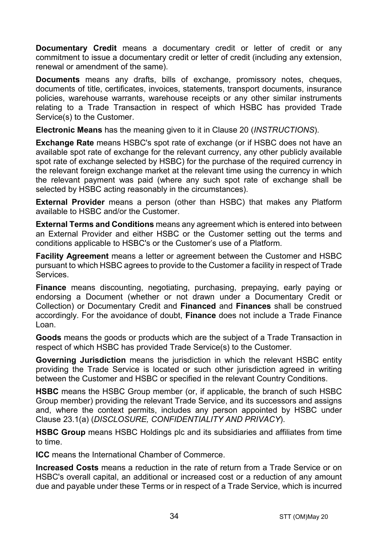**Documentary Credit** means a documentary credit or letter of credit or any commitment to issue a documentary credit or letter of credit (including any extension, renewal or amendment of the same).

**Documents** means any drafts, bills of exchange, promissory notes, cheques, documents of title, certificates, invoices, statements, transport documents, insurance policies, warehouse warrants, warehouse receipts or any other similar instruments relating to a Trade Transaction in respect of which HSBC has provided Trade Service(s) to the Customer.

**Electronic Means** has the meaning given to it in Clause [20](#page-24-0) (*[INSTRUCTIONS](#page-24-0)*).

**Exchange Rate** means HSBC's spot rate of exchange (or if HSBC does not have an available spot rate of exchange for the relevant currency, any other publicly available spot rate of exchange selected by HSBC) for the purchase of the required currency in the relevant foreign exchange market at the relevant time using the currency in which the relevant payment was paid (where any such spot rate of exchange shall be selected by HSBC acting reasonably in the circumstances).

**External Provider** means a person (other than HSBC) that makes any Platform available to HSBC and/or the Customer.

**External Terms and Conditions** means any agreement which is entered into between an External Provider and either HSBC or the Customer setting out the terms and conditions applicable to HSBC's or the Customer's use of a Platform.

**Facility Agreement** means a letter or agreement between the Customer and HSBC pursuant to which HSBC agrees to provide to the Customer a facility in respect of Trade Services.

**Finance** means discounting, negotiating, purchasing, prepaying, early paying or endorsing a Document (whether or not drawn under a Documentary Credit or Collection) or Documentary Credit and **Financed** and **Finances** shall be construed accordingly. For the avoidance of doubt, **Finance** does not include a Trade Finance Loan.

**Goods** means the goods or products which are the subject of a Trade Transaction in respect of which HSBC has provided Trade Service(s) to the Customer.

**Governing Jurisdiction** means the jurisdiction in which the relevant HSBC entity providing the Trade Service is located or such other jurisdiction agreed in writing between the Customer and HSBC or specified in the relevant Country Conditions.

**HSBC** means the HSBC Group member (or, if applicable, the branch of such HSBC Group member) providing the relevant Trade Service, and its successors and assigns and, where the context permits, includes any person appointed by HSBC under Clause [23.1\(a\)](#page-29-0) (*[DISCLOSURE, CONFIDENTIALITY AND PRIVACY](#page-28-0)*).

**HSBC Group** means HSBC Holdings plc and its subsidiaries and affiliates from time to time.

**ICC** means the International Chamber of Commerce.

**Increased Costs** means a reduction in the rate of return from a Trade Service or on HSBC's overall capital, an additional or increased cost or a reduction of any amount due and payable under these Terms or in respect of a Trade Service, which is incurred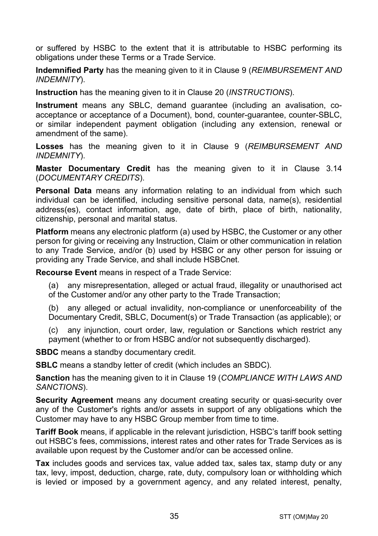or suffered by HSBC to the extent that it is attributable to HSBC performing its obligations under these Terms or a Trade Service.

**Indemnified Party** has the meaning given to it in Claus[e 9](#page-13-0) (*[REIMBURSEMENT AND](#page-13-0)  [INDEMNITY](#page-13-0)*).

**Instruction** has the meaning given to it in Clause [20](#page-24-0) (*[INSTRUCTIONS](#page-24-0)*).

**Instrument** means any SBLC, demand guarantee (including an avalisation, coacceptance or acceptance of a Document), bond, counter-guarantee, counter-SBLC, or similar independent payment obligation (including any extension, renewal or amendment of the same).

**Losses** has the meaning given to it in Clause [9](#page-13-0) (*[REIMBURSEMENT AND](#page-13-0)  [INDEMNITY](#page-13-0)*).

**Master Documentary Credit** has the meaning given to it in Clause [3.14](#page-5-0) (*[DOCUMENTARY CREDITS](#page-3-0)*).

**Personal Data** means any information relating to an individual from which such individual can be identified, including sensitive personal data, name(s), residential address(es), contact information, age, date of birth, place of birth, nationality, citizenship, personal and marital status.

**Platform** means any electronic platform (a) used by HSBC, the Customer or any other person for giving or receiving any Instruction, Claim or other communication in relation to any Trade Service, and/or (b) used by HSBC or any other person for issuing or providing any Trade Service, and shall include HSBCnet.

**Recourse Event** means in respect of a Trade Service:

(a) any misrepresentation, alleged or actual fraud, illegality or unauthorised act of the Customer and/or any other party to the Trade Transaction;

(b) any alleged or actual invalidity, non-compliance or unenforceability of the Documentary Credit, SBLC, Document(s) or Trade Transaction (as applicable); or

(c) any injunction, court order, law, regulation or Sanctions which restrict any payment (whether to or from HSBC and/or not subsequently discharged).

**SBDC** means a standby documentary credit.

**SBLC** means a standby letter of credit (which includes an SBDC).

**Sanction** has the meaning given to it in Clause [19](#page-22-0) (*[COMPLIANCE WITH LAWS AND](#page-22-0)  [SANCTIONS](#page-22-0)*).

**Security Agreement** means any document creating security or quasi-security over any of the Customer's rights and/or assets in support of any obligations which the Customer may have to any HSBC Group member from time to time.

**Tariff Book** means, if applicable in the relevant jurisdiction, HSBC's tariff book setting out HSBC's fees, commissions, interest rates and other rates for Trade Services as is available upon request by the Customer and/or can be accessed online.

**Tax** includes goods and services tax, value added tax, sales tax, stamp duty or any tax, levy, impost, deduction, charge, rate, duty, compulsory loan or withholding which is levied or imposed by a government agency, and any related interest, penalty,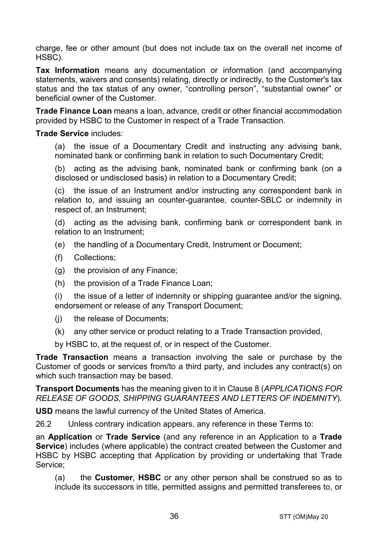charge, fee or other amount (but does not include tax on the overall net income of HSBC).

**Tax Information** means any documentation or information (and accompanying statements, waivers and consents) relating, directly or indirectly, to the Customer's tax status and the tax status of any owner, "controlling person", "substantial owner" or beneficial owner of the Customer.

**Trade Finance Loan** means a loan, advance, credit or other financial accommodation provided by HSBC to the Customer in respect of a Trade Transaction.

#### **Trade Service** includes:

(a) the issue of a Documentary Credit and instructing any advising bank, nominated bank or confirming bank in relation to such Documentary Credit;

(b) acting as the advising bank, nominated bank or confirming bank (on a disclosed or undisclosed basis) in relation to a Documentary Credit;

(c) the issue of an Instrument and/or instructing any correspondent bank in relation to, and issuing an counter-guarantee, counter-SBLC or indemnity in respect of, an Instrument;

(d) acting as the advising bank, confirming bank or correspondent bank in relation to an Instrument;

- (e) the handling of a Documentary Credit, Instrument or Document;
- (f) Collections;
- (g) the provision of any Finance;
- (h) the provision of a Trade Finance Loan;

(i) the issue of a letter of indemnity or shipping guarantee and/or the signing, endorsement or release of any Transport Document;

- (j) the release of Documents;
- (k) any other service or product relating to a Trade Transaction provided,

by HSBC to, at the request of, or in respect of the Customer.

**Trade Transaction** means a transaction involving the sale or purchase by the Customer of goods or services from/to a third party, and includes any contract(s) on which such transaction may be based.

**Transport Documents** has the meaning given to it in Clause [8](#page-12-0) (*[APPLICATIONS FOR](#page-12-0)  [RELEASE OF GOODS, SHIPPING GUARANTEES AND](#page-12-0) LETTERS OF INDEMNITY*).

**USD** means the lawful currency of the United States of America.

26.2 Unless contrary indication appears, any reference in these Terms to:

an **Application** or **Trade Service** (and any reference in an Application to a **Trade Service**) includes (where applicable) the contract created between the Customer and HSBC by HSBC accepting that Application by providing or undertaking that Trade Service;

(a) the **Customer**, **HSBC** or any other person shall be construed so as to include its successors in title, permitted assigns and permitted transferees to, or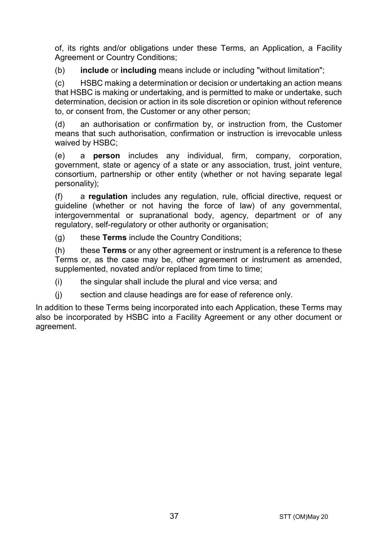of, its rights and/or obligations under these Terms, an Application, a Facility Agreement or Country Conditions:

(b) **include** or **including** means include or including "without limitation";

(c) HSBC making a determination or decision or undertaking an action means that HSBC is making or undertaking, and is permitted to make or undertake, such determination, decision or action in its sole discretion or opinion without reference to, or consent from, the Customer or any other person;

(d) an authorisation or confirmation by, or instruction from, the Customer means that such authorisation, confirmation or instruction is irrevocable unless waived by HSBC;

(e) a **person** includes any individual, firm, company, corporation, government, state or agency of a state or any association, trust, joint venture, consortium, partnership or other entity (whether or not having separate legal personality);

(f) a **regulation** includes any regulation, rule, official directive, request or guideline (whether or not having the force of law) of any governmental, intergovernmental or supranational body, agency, department or of any regulatory, self-regulatory or other authority or organisation;

(g) these **Terms** include the Country Conditions;

(h) these **Terms** or any other agreement or instrument is a reference to these Terms or, as the case may be, other agreement or instrument as amended, supplemented, novated and/or replaced from time to time;

(i) the singular shall include the plural and vice versa; and

(j) section and clause headings are for ease of reference only.

In addition to these Terms being incorporated into each Application, these Terms may also be incorporated by HSBC into a Facility Agreement or any other document or agreement.